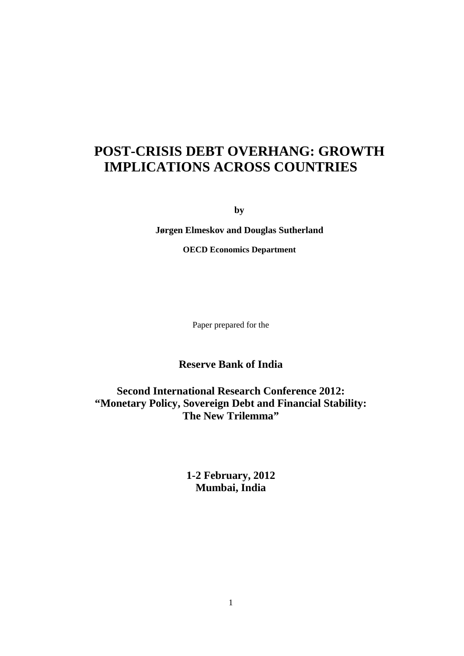# **POST-CRISIS DEBT OVERHANG: GROWTH IMPLICATIONS ACROSS COUNTRIES**

**by**

**Jørgen Elmeskov and Douglas Sutherland**

**OECD Economics Department**

Paper prepared for the

# **Reserve Bank of India**

**Second International Research Conference 2012: "Monetary Policy, Sovereign Debt and Financial Stability: The New Trilemma"**

> **1-2 February, 2012 Mumbai, India**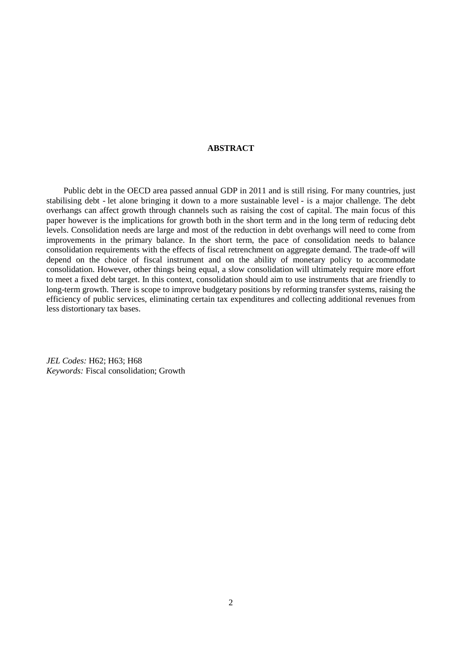#### **ABSTRACT**

Public debt in the OECD area passed annual GDP in 2011 and is still rising. For many countries, just stabilising debt - let alone bringing it down to a more sustainable level - is a major challenge. The debt overhangs can affect growth through channels such as raising the cost of capital. The main focus of this paper however is the implications for growth both in the short term and in the long term of reducing debt levels. Consolidation needs are large and most of the reduction in debt overhangs will need to come from improvements in the primary balance. In the short term, the pace of consolidation needs to balance consolidation requirements with the effects of fiscal retrenchment on aggregate demand. The trade-off will depend on the choice of fiscal instrument and on the ability of monetary policy to accommodate consolidation. However, other things being equal, a slow consolidation will ultimately require more effort to meet a fixed debt target. In this context, consolidation should aim to use instruments that are friendly to long-term growth. There is scope to improve budgetary positions by reforming transfer systems, raising the efficiency of public services, eliminating certain tax expenditures and collecting additional revenues from less distortionary tax bases.

*JEL Codes:* H62; H63; H68 *Keywords:* Fiscal consolidation; Growth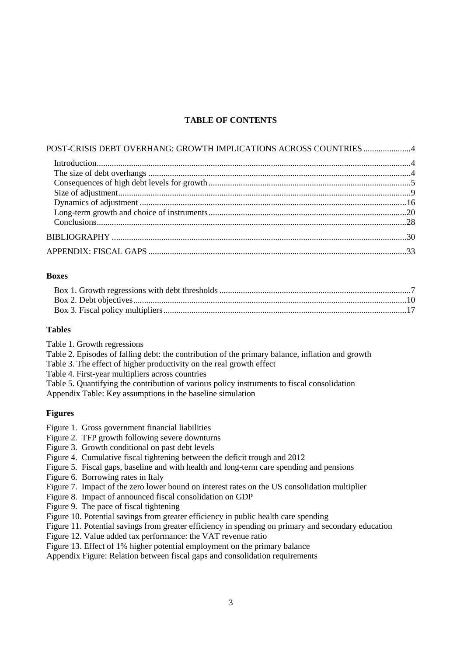# **TABLE OF CONTENTS**

| POST-CRISIS DEBT OVERHANG: GROWTH IMPLICATIONS ACROSS COUNTRIES 4 |  |
|-------------------------------------------------------------------|--|
|                                                                   |  |
|                                                                   |  |
|                                                                   |  |
|                                                                   |  |
|                                                                   |  |
|                                                                   |  |
|                                                                   |  |
|                                                                   |  |
|                                                                   |  |

# **Boxes**

# **Tables**

Table 1. Growth regressions

- Table 2. Episodes of falling debt: the contribution of the primary balance, inflation and growth
- Table 3. The effect of higher productivity on the real growth effect
- Table 4. First-year multipliers across countries
- Table 5. Quantifying the contribution of various policy instruments to fiscal consolidation

Appendix Table: Key assumptions in the baseline simulation

# **Figures**

- Figure 1. Gross government financial liabilities
- Figure 2. TFP growth following severe downturns
- Figure 3. Growth conditional on past debt levels
- Figure 4. Cumulative fiscal tightening between the deficit trough and 2012
- Figure 5. Fiscal gaps, baseline and with health and long-term care spending and pensions
- Figure 6. Borrowing rates in Italy
- Figure 7. Impact of the zero lower bound on interest rates on the US consolidation multiplier
- Figure 8. Impact of announced fiscal consolidation on GDP
- Figure 9. The pace of fiscal tightening
- Figure 10. Potential savings from greater efficiency in public health care spending
- Figure 11. Potential savings from greater efficiency in spending on primary and secondary education
- Figure 12. Value added tax performance: the VAT revenue ratio
- Figure 13. Effect of 1% higher potential employment on the primary balance
- Appendix Figure: Relation between fiscal gaps and consolidation requirements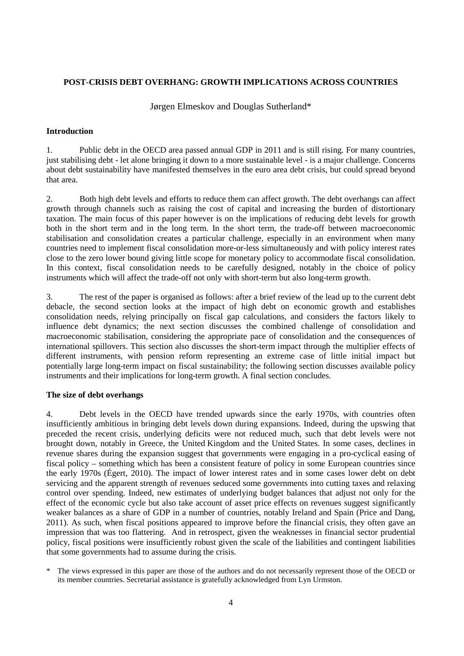# **POST-CRISIS DEBT OVERHANG: GROWTH IMPLICATIONS ACROSS COUNTRIES**

Jørgen Elmeskov and Douglas Sutherland\*

# **Introduction**

1. Public debt in the OECD area passed annual GDP in 2011 and is still rising. For many countries, just stabilising debt - let alone bringing it down to a more sustainable level - is a major challenge. Concerns about debt sustainability have manifested themselves in the euro area debt crisis, but could spread beyond that area.

2. Both high debt levels and efforts to reduce them can affect growth. The debt overhangs can affect growth through channels such as raising the cost of capital and increasing the burden of distortionary taxation. The main focus of this paper however is on the implications of reducing debt levels for growth both in the short term and in the long term. In the short term, the trade-off between macroeconomic stabilisation and consolidation creates a particular challenge, especially in an environment when many countries need to implement fiscal consolidation more-or-less simultaneously and with policy interest rates close to the zero lower bound giving little scope for monetary policy to accommodate fiscal consolidation. In this context, fiscal consolidation needs to be carefully designed, notably in the choice of policy instruments which will affect the trade-off not only with short-term but also long-term growth.

3. The rest of the paper is organised as follows: after a brief review of the lead up to the current debt debacle, the second section looks at the impact of high debt on economic growth and establishes consolidation needs, relying principally on fiscal gap calculations, and considers the factors likely to influence debt dynamics; the next section discusses the combined challenge of consolidation and macroeconomic stabilisation, considering the appropriate pace of consolidation and the consequences of international spillovers. This section also discusses the short-term impact through the multiplier effects of different instruments, with pension reform representing an extreme case of little initial impact but potentially large long-term impact on fiscal sustainability; the following section discusses available policy instruments and their implications for long-term growth. A final section concludes.

## **The size of debt overhangs**

4. Debt levels in the OECD have trended upwards since the early 1970s, with countries often insufficiently ambitious in bringing debt levels down during expansions. Indeed, during the upswing that preceded the recent crisis, underlying deficits were not reduced much, such that debt levels were not brought down, notably in Greece, the United Kingdom and the United States. In some cases, declines in revenue shares during the expansion suggest that governments were engaging in a pro-cyclical easing of fiscal policy – something which has been a consistent feature of policy in some European countries since the early 1970s (Égert, 2010). The impact of lower interest rates and in some cases lower debt on debt servicing and the apparent strength of revenues seduced some governments into cutting taxes and relaxing control over spending. Indeed, new estimates of underlying budget balances that adjust not only for the effect of the economic cycle but also take account of asset price effects on revenues suggest significantly weaker balances as a share of GDP in a number of countries, notably Ireland and Spain (Price and Dang, 2011). As such, when fiscal positions appeared to improve before the financial crisis, they often gave an impression that was too flattering. And in retrospect, given the weaknesses in financial sector prudential policy, fiscal positions were insufficiently robust given the scale of the liabilities and contingent liabilities that some governments had to assume during the crisis.

<sup>\*</sup> The views expressed in this paper are those of the authors and do not necessarily represent those of the OECD or its member countries. Secretarial assistance is gratefully acknowledged from Lyn Urmston.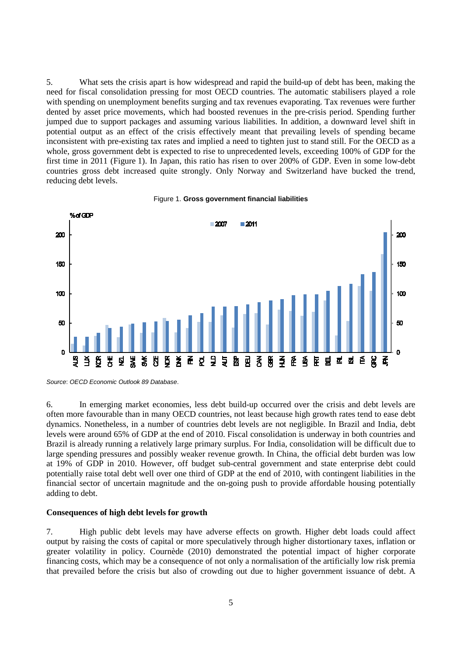5. What sets the crisis apart is how widespread and rapid the build-up of debt has been, making the need for fiscal consolidation pressing for most OECD countries. The automatic stabilisers played a role with spending on unemployment benefits surging and tax revenues evaporating. Tax revenues were further dented by asset price movements, which had boosted revenues in the pre-crisis period. Spending further jumped due to support packages and assuming various liabilities. In addition, a downward level shift in potential output as an effect of the crisis effectively meant that prevailing levels of spending became inconsistent with pre-existing tax rates and implied a need to tighten just to stand still. For the OECD as a whole, gross government debt is expected to rise to unprecedented levels, exceeding 100% of GDP for the first time in 2011 (Figure 1). In Japan, this ratio has risen to over 200% of GDP. Even in some low-debt countries gross debt increased quite strongly. Only Norway and Switzerland have bucked the trend, reducing debt levels.





*Source*: *OECD Economic Outlook 89 Database*.

6. In emerging market economies, less debt build-up occurred over the crisis and debt levels are often more favourable than in many OECD countries, not least because high growth rates tend to ease debt dynamics. Nonetheless, in a number of countries debt levels are not negligible. In Brazil and India, debt levels were around 65% of GDP at the end of 2010. Fiscal consolidation is underway in both countries and Brazil is already running a relatively large primary surplus. For India, consolidation will be difficult due to large spending pressures and possibly weaker revenue growth. In China, the official debt burden was low at 19% of GDP in 2010. However, off budget sub-central government and state enterprise debt could potentially raise total debt well over one third of GDP at the end of 2010, with contingent liabilities in the financial sector of uncertain magnitude and the on-going push to provide affordable housing potentially adding to debt.

#### **Consequences of high debt levels for growth**

7. High public debt levels may have adverse effects on growth. Higher debt loads could affect output by raising the costs of capital or more speculatively through higher distortionary taxes, inflation or greater volatility in policy. Cournède (2010) demonstrated the potential impact of higher corporate financing costs, which may be a consequence of not only a normalisation of the artificially low risk premia that prevailed before the crisis but also of crowding out due to higher government issuance of debt. A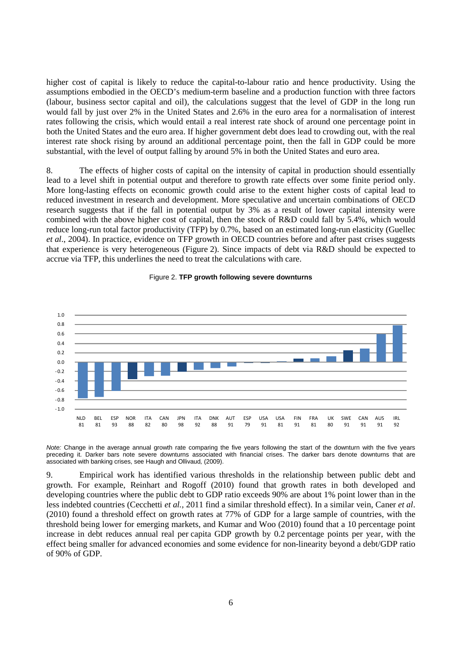higher cost of capital is likely to reduce the capital-to-labour ratio and hence productivity. Using the assumptions embodied in the OECD's medium-term baseline and a production function with three factors (labour, business sector capital and oil), the calculations suggest that the level of GDP in the long run would fall by just over 2% in the United States and 2.6% in the euro area for a normalisation of interest rates following the crisis, which would entail a real interest rate shock of around one percentage point in both the United States and the euro area. If higher government debt does lead to crowding out, with the real interest rate shock rising by around an additional percentage point, then the fall in GDP could be more substantial, with the level of output falling by around 5% in both the United States and euro area.

8. The effects of higher costs of capital on the intensity of capital in production should essentially lead to a level shift in potential output and therefore to growth rate effects over some finite period only. More long-lasting effects on economic growth could arise to the extent higher costs of capital lead to reduced investment in research and development. More speculative and uncertain combinations of OECD research suggests that if the fall in potential output by 3% as a result of lower capital intensity were combined with the above higher cost of capital, then the stock of R&D could fall by 5.4%, which would reduce long-run total factor productivity (TFP) by 0.7%, based on an estimated long-run elasticity (Guellec *et al*., 2004). In practice, evidence on TFP growth in OECD countries before and after past crises suggests that experience is very heterogeneous (Figure 2). Since impacts of debt via R&D should be expected to accrue via TFP, this underlines the need to treat the calculations with care.



#### Figure 2. **TFP growth following severe downturns**

*Note:* Change in the average annual growth rate comparing the five years following the start of the downturn with the five years preceding it. Darker bars note severe downturns associated with financial crises. The darker bars denote downturns that are associated with banking crises, see Haugh and Ollivaud*,* (2009).

9. Empirical work has identified various thresholds in the relationship between public debt and growth. For example, Reinhart and Rogoff (2010) found that growth rates in both developed and developing countries where the public debt to GDP ratio exceeds 90% are about 1% point lower than in the less indebted countries (Cecchetti *et al.,* 2011 find a similar threshold effect). In a similar vein, Caner *et al*. (2010) found a threshold effect on growth rates at 77% of GDP for a large sample of countries, with the threshold being lower for emerging markets, and Kumar and Woo (2010) found that a 10 percentage point increase in debt reduces annual real per capita GDP growth by 0.2 percentage points per year, with the effect being smaller for advanced economies and some evidence for non-linearity beyond a debt/GDP ratio of 90% of GDP.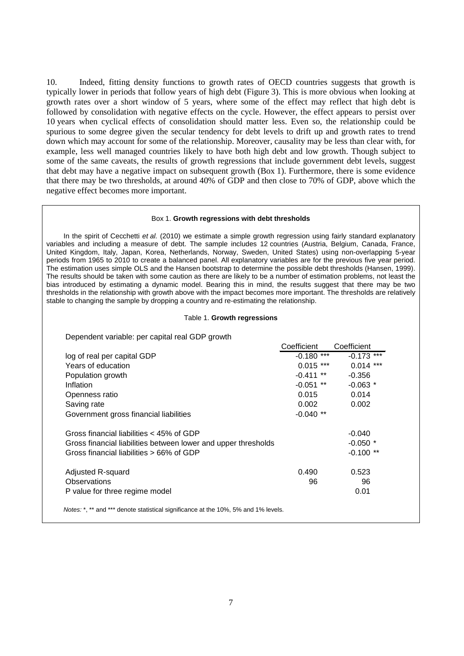10. Indeed, fitting density functions to growth rates of OECD countries suggests that growth is typically lower in periods that follow years of high debt (Figure 3). This is more obvious when looking at growth rates over a short window of 5 years, where some of the effect may reflect that high debt is followed by consolidation with negative effects on the cycle. However, the effect appears to persist over 10 years when cyclical effects of consolidation should matter less. Even so, the relationship could be spurious to some degree given the secular tendency for debt levels to drift up and growth rates to trend down which may account for some of the relationship. Moreover, causality may be less than clear with, for example, less well managed countries likely to have both high debt and low growth. Though subject to some of the same caveats, the results of growth regressions that include government debt levels, suggest that debt may have a negative impact on subsequent growth (Box 1). Furthermore, there is some evidence that there may be two thresholds, at around 40% of GDP and then close to 70% of GDP, above which the negative effect becomes more important.

#### Box 1. **Growth regressions with debt thresholds**

In the spirit of Cecchetti *et al.* (2010) we estimate a simple growth regression using fairly standard explanatory variables and including a measure of debt. The sample includes 12 countries (Austria, Belgium, Canada, France, United Kingdom, Italy, Japan, Korea, Netherlands, Norway, Sweden, United States) using non-overlapping 5-year periods from 1965 to 2010 to create a balanced panel. All explanatory variables are for the previous five year period. The estimation uses simple OLS and the Hansen bootstrap to determine the possible debt thresholds (Hansen, 1999). The results should be taken with some caution as there are likely to be a number of estimation problems, not least the bias introduced by estimating a dynamic model. Bearing this in mind, the results suggest that there may be two thresholds in the relationship with growth above with the impact becomes more important. The thresholds are relatively stable to changing the sample by dropping a country and re-estimating the relationship.

#### Table 1. **Growth regressions**

Dependent variable: per capital real GDP growth

|                                                                                    | Coefficient  | Coefficient  |
|------------------------------------------------------------------------------------|--------------|--------------|
| log of real per capital GDP                                                        | $-0.180$ *** | $-0.173$ *** |
| Years of education                                                                 | $0.015$ ***  | $0.014$ ***  |
| Population growth                                                                  | $-0.411$ **  | $-0.356$     |
| Inflation                                                                          | $-0.051$ **  | $-0.063$ *   |
| Openness ratio                                                                     | 0.015        | 0.014        |
| Saving rate                                                                        | 0.002        | 0.002        |
| Government gross financial liabilities                                             | $-0.040**$   |              |
| Gross financial liabilities < 45% of GDP                                           |              | $-0.040$     |
| Gross financial liabilities between lower and upper thresholds                     |              | $-0.050$ *   |
| Gross financial liabilities > 66% of GDP                                           |              | $-0.100**$   |
| Adjusted R-squard                                                                  | 0.490        | 0.523        |
| Observations                                                                       | 96           | 96           |
| P value for three regime model                                                     |              | 0.01         |
| Notes: *, ** and *** denote statistical significance at the 10%, 5% and 1% levels. |              |              |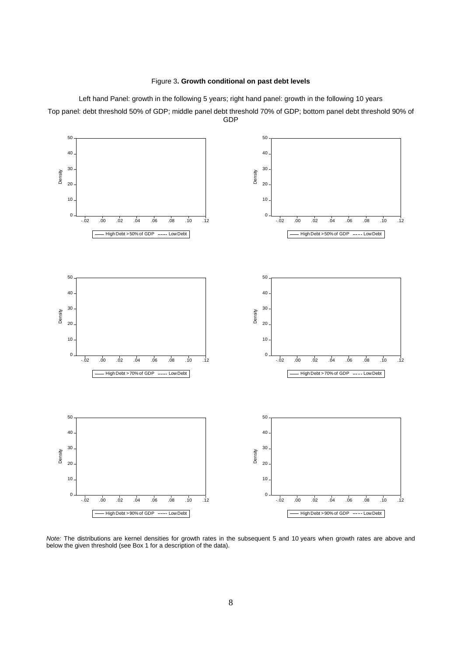

Left hand Panel: growth in the following 5 years; right hand panel: growth in the following 10 years Top panel: debt threshold 50% of GDP; middle panel debt threshold 70% of GDP; bottom panel debt threshold 90% of GDP



*Note:* The distributions are kernel densities for growth rates in the subsequent 5 and 10 years when growth rates are above and below the given threshold (see Box 1 for a description of the data).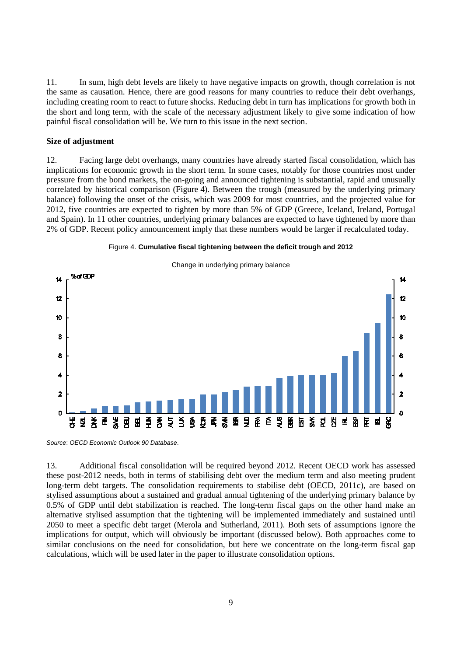11. In sum, high debt levels are likely to have negative impacts on growth, though correlation is not the same as causation. Hence, there are good reasons for many countries to reduce their debt overhangs, including creating room to react to future shocks. Reducing debt in turn has implications for growth both in the short and long term, with the scale of the necessary adjustment likely to give some indication of how painful fiscal consolidation will be. We turn to this issue in the next section.

# **Size of adjustment**

12. Facing large debt overhangs, many countries have already started fiscal consolidation, which has implications for economic growth in the short term. In some cases, notably for those countries most under pressure from the bond markets, the on-going and announced tightening is substantial, rapid and unusually correlated by historical comparison (Figure 4). Between the trough (measured by the underlying primary balance) following the onset of the crisis, which was 2009 for most countries, and the projected value for 2012, five countries are expected to tighten by more than 5% of GDP (Greece, Iceland, Ireland, Portugal and Spain). In 11 other countries, underlying primary balances are expected to have tightened by more than 2% of GDP. Recent policy announcement imply that these numbers would be larger if recalculated today.



Figure 4. **Cumulative fiscal tightening between the deficit trough and 2012**

*Source*: *OECD Economic Outlook 90 Database*.

13. Additional fiscal consolidation will be required beyond 2012. Recent OECD work has assessed these post-2012 needs, both in terms of stabilising debt over the medium term and also meeting prudent long-term debt targets. The consolidation requirements to stabilise debt (OECD, 2011c), are based on stylised assumptions about a sustained and gradual annual tightening of the underlying primary balance by 0.5% of GDP until debt stabilization is reached. The long-term fiscal gaps on the other hand make an alternative stylised assumption that the tightening will be implemented immediately and sustained until 2050 to meet a specific debt target (Merola and Sutherland, 2011). Both sets of assumptions ignore the implications for output, which will obviously be important (discussed below). Both approaches come to similar conclusions on the need for consolidation, but here we concentrate on the long-term fiscal gap calculations, which will be used later in the paper to illustrate consolidation options.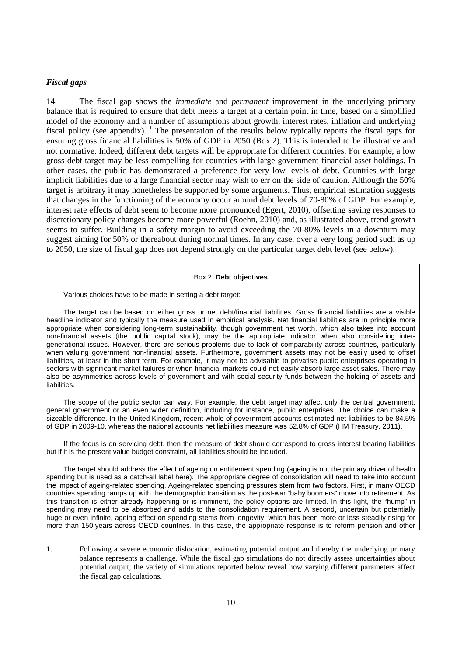# *Fiscal gaps*

 $\overline{a}$ 

14. The fiscal gap shows the *immediate* and *permanent* improvement in the underlying primary balance that is required to ensure that debt meets a target at a certain point in time, based on a simplified model of the economy and a number of assumptions about growth, interest rates, inflation and underlying fiscal policy (see appendix). <sup>[1](#page-9-0)</sup> The presentation of the results below typically reports the fiscal gaps for ensuring gross financial liabilities is 50% of GDP in 2050 (Box 2). This is intended to be illustrative and not normative. Indeed, different debt targets will be appropriate for different countries. For example, a low gross debt target may be less compelling for countries with large government financial asset holdings. In other cases, the public has demonstrated a preference for very low levels of debt. Countries with large implicit liabilities due to a large financial sector may wish to err on the side of caution. Although the 50% target is arbitrary it may nonetheless be supported by some arguments. Thus, empirical estimation suggests that changes in the functioning of the economy occur around debt levels of 70-80% of GDP. For example, interest rate effects of debt seem to become more pronounced (Egert, 2010), offsetting saving responses to discretionary policy changes become more powerful (Roehn, 2010) and, as illustrated above, trend growth seems to suffer. Building in a safety margin to avoid exceeding the 70-80% levels in a downturn may suggest aiming for 50% or thereabout during normal times. In any case, over a very long period such as up to 2050, the size of fiscal gap does not depend strongly on the particular target debt level (see below).

#### Box 2. **Debt objectives**

Various choices have to be made in setting a debt target:

The target can be based on either gross or net debt/financial liabilities. Gross financial liabilities are a visible headline indicator and typically the measure used in empirical analysis. Net financial liabilities are in principle more appropriate when considering long-term sustainability, though government net worth, which also takes into account non-financial assets (the public capital stock), may be the appropriate indicator when also considering intergenerational issues. However, there are serious problems due to lack of comparability across countries, particularly when valuing government non-financial assets. Furthermore, government assets may not be easily used to offset liabilities, at least in the short term. For example, it may not be advisable to privatise public enterprises operating in sectors with significant market failures or when financial markets could not easily absorb large asset sales. There may also be asymmetries across levels of government and with social security funds between the holding of assets and liabilities.

The scope of the public sector can vary. For example, the debt target may affect only the central government, general government or an even wider definition, including for instance, public enterprises. The choice can make a sizeable difference. In the United Kingdom, recent whole of government accounts estimated net liabilities to be 84.5% of GDP in 2009-10, whereas the national accounts net liabilities measure was 52.8% of GDP (HM Treasury, 2011).

If the focus is on servicing debt, then the measure of debt should correspond to gross interest bearing liabilities but if it is the present value budget constraint, all liabilities should be included.

The target should address the effect of ageing on entitlement spending (ageing is not the primary driver of health spending but is used as a catch-all label here). The appropriate degree of consolidation will need to take into account the impact of ageing-related spending. Ageing-related spending pressures stem from two factors. First, in many OECD countries spending ramps up with the demographic transition as the post-war "baby boomers" move into retirement. As this transition is either already happening or is imminent, the policy options are limited. In this light, the "hump" in spending may need to be absorbed and adds to the consolidation requirement. A second, uncertain but potentially huge or even infinite, ageing effect on spending stems from longevity, which has been more or less steadily rising for more than 150 years across OECD countries. In this case, the appropriate response is to reform pension and other

<span id="page-9-0"></span><sup>1.</sup> Following a severe economic dislocation, estimating potential output and thereby the underlying primary balance represents a challenge. While the fiscal gap simulations do not directly assess uncertainties about potential output, the variety of simulations reported below reveal how varying different parameters affect the fiscal gap calculations.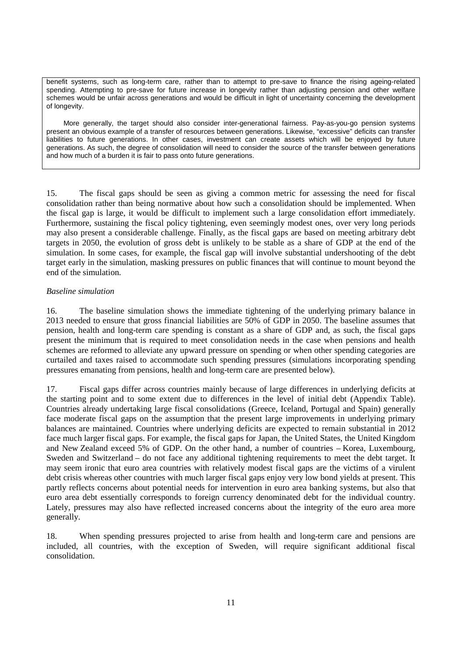benefit systems, such as long-term care, rather than to attempt to pre-save to finance the rising ageing-related spending. Attempting to pre-save for future increase in longevity rather than adjusting pension and other welfare schemes would be unfair across generations and would be difficult in light of uncertainty concerning the development of longevity.

More generally, the target should also consider inter-generational fairness. Pay-as-you-go pension systems present an obvious example of a transfer of resources between generations. Likewise, "excessive" deficits can transfer liabilities to future generations. In other cases, investment can create assets which will be enjoyed by future generations. As such, the degree of consolidation will need to consider the source of the transfer between generations and how much of a burden it is fair to pass onto future generations.

15. The fiscal gaps should be seen as giving a common metric for assessing the need for fiscal consolidation rather than being normative about how such a consolidation should be implemented. When the fiscal gap is large, it would be difficult to implement such a large consolidation effort immediately. Furthermore, sustaining the fiscal policy tightening, even seemingly modest ones, over very long periods may also present a considerable challenge. Finally, as the fiscal gaps are based on meeting arbitrary debt targets in 2050, the evolution of gross debt is unlikely to be stable as a share of GDP at the end of the simulation. In some cases, for example, the fiscal gap will involve substantial undershooting of the debt target early in the simulation, masking pressures on public finances that will continue to mount beyond the end of the simulation.

# *Baseline simulation*

16. The baseline simulation shows the immediate tightening of the underlying primary balance in 2013 needed to ensure that gross financial liabilities are 50% of GDP in 2050. The baseline assumes that pension, health and long-term care spending is constant as a share of GDP and, as such, the fiscal gaps present the minimum that is required to meet consolidation needs in the case when pensions and health schemes are reformed to alleviate any upward pressure on spending or when other spending categories are curtailed and taxes raised to accommodate such spending pressures (simulations incorporating spending pressures emanating from pensions, health and long-term care are presented below).

17. Fiscal gaps differ across countries mainly because of large differences in underlying deficits at the starting point and to some extent due to differences in the level of initial debt (Appendix Table). Countries already undertaking large fiscal consolidations (Greece, Iceland, Portugal and Spain) generally face moderate fiscal gaps on the assumption that the present large improvements in underlying primary balances are maintained. Countries where underlying deficits are expected to remain substantial in 2012 face much larger fiscal gaps. For example, the fiscal gaps for Japan, the United States, the United Kingdom and New Zealand exceed 5% of GDP. On the other hand, a number of countries – Korea, Luxembourg, Sweden and Switzerland – do not face any additional tightening requirements to meet the debt target. It may seem ironic that euro area countries with relatively modest fiscal gaps are the victims of a virulent debt crisis whereas other countries with much larger fiscal gaps enjoy very low bond yields at present. This partly reflects concerns about potential needs for intervention in euro area banking systems, but also that euro area debt essentially corresponds to foreign currency denominated debt for the individual country. Lately, pressures may also have reflected increased concerns about the integrity of the euro area more generally.

18. When spending pressures projected to arise from health and long-term care and pensions are included, all countries, with the exception of Sweden, will require significant additional fiscal consolidation.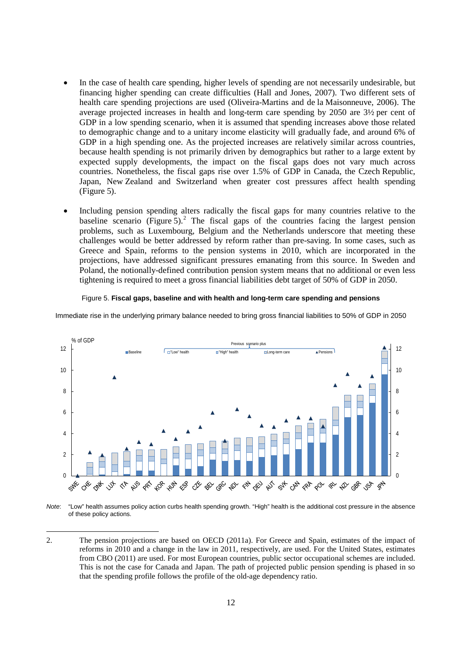- In the case of health care spending, higher levels of spending are not necessarily undesirable, but financing higher spending can create difficulties (Hall and Jones, 2007). Two different sets of health care spending projections are used (Oliveira-Martins and de la Maisonneuve, 2006). The average projected increases in health and long-term care spending by 2050 are 3½ per cent of GDP in a low spending scenario, when it is assumed that spending increases above those related to demographic change and to a unitary income elasticity will gradually fade, and around 6% of GDP in a high spending one. As the projected increases are relatively similar across countries, because health spending is not primarily driven by demographics but rather to a large extent by expected supply developments, the impact on the fiscal gaps does not vary much across countries. Nonetheless, the fiscal gaps rise over 1.5% of GDP in Canada, the Czech Republic, Japan, New Zealand and Switzerland when greater cost pressures affect health spending (Figure 5).
- Including pension spending alters radically the fiscal gaps for many countries relative to the baseline scenario (Figure 5).<sup>[2](#page-11-0)</sup> The fiscal gaps of the countries facing the largest pension problems, such as Luxembourg, Belgium and the Netherlands underscore that meeting these challenges would be better addressed by reform rather than pre-saving. In some cases, such as Greece and Spain, reforms to the pension systems in 2010, which are incorporated in the projections, have addressed significant pressures emanating from this source. In Sweden and Poland, the notionally-defined contribution pension system means that no additional or even less tightening is required to meet a gross financial liabilities debt target of 50% of GDP in 2050.

#### Figure 5. **Fiscal gaps, baseline and with health and long-term care spending and pensions**

Immediate rise in the underlying primary balance needed to bring gross financial liabilities to 50% of GDP in 2050



*Note*: "Low" health assumes policy action curbs health spending growth. "High" health is the additional cost pressure in the absence of these policy actions.

<span id="page-11-0"></span> $\ddot{\phantom{a}}$ 2. The pension projections are based on OECD (2011a). For Greece and Spain, estimates of the impact of reforms in 2010 and a change in the law in 2011, respectively, are used. For the United States, estimates from CBO (2011) are used. For most European countries, public sector occupational schemes are included. This is not the case for Canada and Japan. The path of projected public pension spending is phased in so that the spending profile follows the profile of the old-age dependency ratio.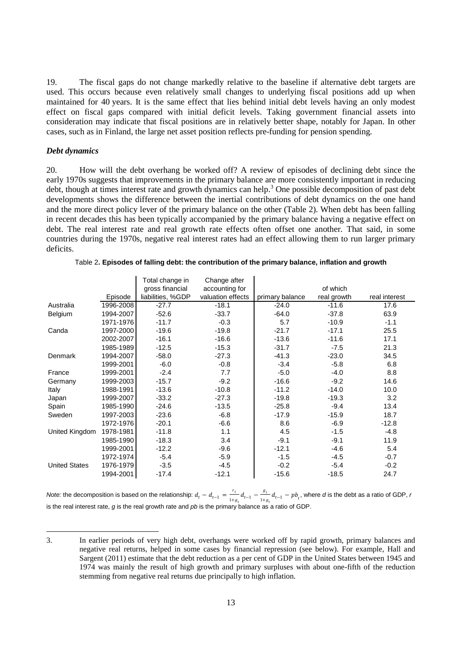19. The fiscal gaps do not change markedly relative to the baseline if alternative debt targets are used. This occurs because even relatively small changes to underlying fiscal positions add up when maintained for 40 years. It is the same effect that lies behind initial debt levels having an only modest effect on fiscal gaps compared with initial deficit levels. Taking government financial assets into consideration may indicate that fiscal positions are in relatively better shape, notably for Japan. In other cases, such as in Finland, the large net asset position reflects pre-funding for pension spending.

# *Debt dynamics*

20. How will the debt overhang be worked off? A review of episodes of declining debt since the early 1970s suggests that improvements in the primary balance are more consistently important in reducing debt, though at times interest rate and growth dynamics can help.<sup>[3](#page-12-0)</sup> One possible decomposition of past debt developments shows the difference between the inertial contributions of debt dynamics on the one hand and the more direct policy lever of the primary balance on the other (Table 2). When debt has been falling in recent decades this has been typically accompanied by the primary balance having a negative effect on debt. The real interest rate and real growth rate effects often offset one another. That said, in some countries during the 1970s, negative real interest rates had an effect allowing them to run larger primary deficits.

|                      |           | Total change in   | Change after      |                 |             |               |
|----------------------|-----------|-------------------|-------------------|-----------------|-------------|---------------|
|                      |           | gross financial   | accounting for    |                 | of which    |               |
|                      | Episode   | liabilities, %GDP | valuation effects | primary balance | real growth | real interest |
| Australia            | 1996-2008 | $-27.7$           | $-18.1$           | $-24.0$         | $-11.6$     | 17.6          |
| Belgium              | 1994-2007 | $-52.6$           | $-33.7$           | $-64.0$         | $-37.8$     | 63.9          |
|                      | 1971-1976 | $-11.7$           | $-0.3$            | 5.7             | $-10.9$     | $-1.1$        |
| Canda                | 1997-2000 | $-19.6$           | $-19.8$           | $-21.7$         | $-17.1$     | 25.5          |
|                      | 2002-2007 | $-16.1$           | $-16.6$           | $-13.6$         | $-11.6$     | 17.1          |
|                      | 1985-1989 | $-12.5$           | $-15.3$           | $-31.7$         | $-7.5$      | 21.3          |
| Denmark              | 1994-2007 | $-58.0$           | $-27.3$           | $-41.3$         | $-23.0$     | 34.5          |
|                      | 1999-2001 | $-6.0$            | $-0.8$            | $-3.4$          | $-5.8$      | 6.8           |
| France               | 1999-2001 | $-2.4$            | 7.7               | $-5.0$          | $-4.0$      | 8.8           |
| Germany              | 1999-2003 | $-15.7$           | $-9.2$            | $-16.6$         | $-9.2$      | 14.6          |
| Italy                | 1988-1991 | $-13.6$           | $-10.8$           | $-11.2$         | $-14.0$     | 10.0          |
| Japan                | 1999-2007 | $-33.2$           | $-27.3$           | $-19.8$         | $-19.3$     | 3.2           |
| Spain                | 1985-1990 | $-24.6$           | $-13.5$           | $-25.8$         | $-9.4$      | 13.4          |
| Sweden               | 1997-2003 | $-23.6$           | $-6.8$            | $-17.9$         | $-15.9$     | 18.7          |
|                      | 1972-1976 | $-20.1$           | $-6.6$            | 8.6             | $-6.9$      | $-12.8$       |
| United Kingdom       | 1978-1981 | $-11.8$           | 1.1               | 4.5             | $-1.5$      | $-4.8$        |
|                      | 1985-1990 | $-18.3$           | 3.4               | $-9.1$          | $-9.1$      | 11.9          |
|                      | 1999-2001 | $-12.2$           | $-9.6$            | $-12.1$         | $-4.6$      | 5.4           |
|                      | 1972-1974 | $-5.4$            | $-5.9$            | $-1.5$          | $-4.5$      | $-0.7$        |
| <b>United States</b> | 1976-1979 | $-3.5$            | $-4.5$            | $-0.2$          | $-5.4$      | $-0.2$        |
|                      | 1994-2001 | $-17.4$           | $-12.1$           | $-15.6$         | $-18.5$     | 24.7          |

*Note:* the decomposition is based on the relationship:  $d_t - d_{t-1} = \frac{r_t}{1+g_t} d_{t-1} - \frac{g_t}{1+g_t} d_{t-1} - pb_t$ , where *d* is the debt as a ratio of GDP, *r* is the real interest rate, *g* is the real growth rate and *pb* is the primary balance as a ratio of GDP.

<span id="page-12-0"></span> $\ddot{\phantom{a}}$ 3. In earlier periods of very high debt, overhangs were worked off by rapid growth, primary balances and negative real returns, helped in some cases by financial repression (see below). For example, Hall and Sargent (2011) estimate that the debt reduction as a per cent of GDP in the United States between 1945 and 1974 was mainly the result of high growth and primary surpluses with about one-fifth of the reduction stemming from negative real returns due principally to high inflation.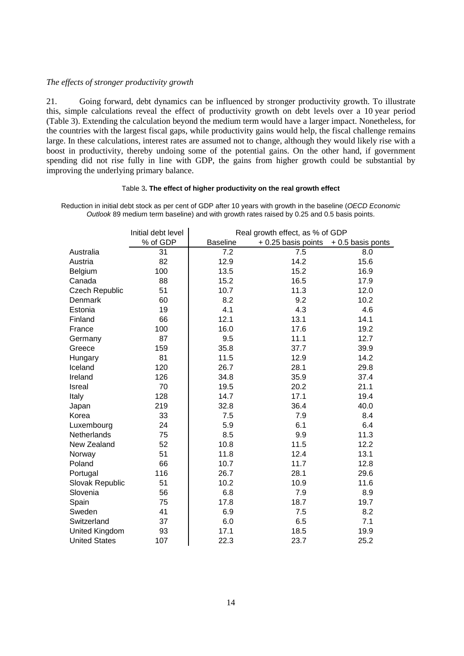# *The effects of stronger productivity growth*

21. Going forward, debt dynamics can be influenced by stronger productivity growth. To illustrate this, simple calculations reveal the effect of productivity growth on debt levels over a 10 year period (Table 3). Extending the calculation beyond the medium term would have a larger impact. Nonetheless, for the countries with the largest fiscal gaps, while productivity gains would help, the fiscal challenge remains large. In these calculations, interest rates are assumed not to change, although they would likely rise with a boost in productivity, thereby undoing some of the potential gains. On the other hand, if government spending did not rise fully in line with GDP, the gains from higher growth could be substantial by improving the underlying primary balance.

### Table 3**. The effect of higher productivity on the real growth effect**

Reduction in initial debt stock as per cent of GDP after 10 years with growth in the baseline (*OECD Economic Outlook* 89 medium term baseline) and with growth rates raised by 0.25 and 0.5 basis points.

|                       | Initial debt level | Real growth effect, as % of GDP |                     |                   |  |  |  |
|-----------------------|--------------------|---------------------------------|---------------------|-------------------|--|--|--|
|                       | % of GDP           | <b>Baseline</b>                 | + 0.25 basis points | + 0.5 basis ponts |  |  |  |
| Australia             | 31                 | 7.2                             | 7.5                 | 8.0               |  |  |  |
| Austria               | 82                 | 12.9                            | 14.2                | 15.6              |  |  |  |
| Belgium               | 100                | 13.5                            | 15.2                | 16.9              |  |  |  |
| Canada                | 88                 | 15.2                            | 16.5                | 17.9              |  |  |  |
| <b>Czech Republic</b> | 51                 | 10.7                            | 11.3                | 12.0              |  |  |  |
| Denmark               | 60                 | 8.2                             | 9.2                 | 10.2              |  |  |  |
| Estonia               | 19                 | 4.1                             | 4.3                 | 4.6               |  |  |  |
| Finland               | 66                 | 12.1                            | 13.1                | 14.1              |  |  |  |
| France                | 100                | 16.0                            | 17.6                | 19.2              |  |  |  |
| Germany               | 87                 | 9.5                             | 11.1                | 12.7              |  |  |  |
| Greece                | 159                | 35.8                            | 37.7                | 39.9              |  |  |  |
| Hungary               | 81                 | 11.5                            | 12.9                | 14.2              |  |  |  |
| Iceland               | 120                | 26.7                            | 28.1                | 29.8              |  |  |  |
| Ireland               | 126                | 34.8                            | 35.9                | 37.4              |  |  |  |
| Isreal                | 70                 | 19.5                            | 20.2                | 21.1              |  |  |  |
| Italy                 | 128                | 14.7                            | 17.1                | 19.4              |  |  |  |
| Japan                 | 219                | 32.8                            | 36.4                | 40.0              |  |  |  |
| Korea                 | 33                 | 7.5                             | 7.9                 | 8.4               |  |  |  |
| Luxembourg            | 24                 | 5.9                             | 6.1                 | 6.4               |  |  |  |
| Netherlands           | 75                 | 8.5                             | 9.9                 | 11.3              |  |  |  |
| New Zealand           | 52                 | 10.8                            | 11.5                | 12.2              |  |  |  |
| Norway                | 51                 | 11.8                            | 12.4                | 13.1              |  |  |  |
| Poland                | 66                 | 10.7                            | 11.7                | 12.8              |  |  |  |
| Portugal              | 116                | 26.7                            | 28.1                | 29.6              |  |  |  |
| Slovak Republic       | 51                 | 10.2                            | 10.9                | 11.6              |  |  |  |
| Slovenia              | 56                 | 6.8                             | 7.9                 | 8.9               |  |  |  |
| Spain                 | 75                 | 17.8                            | 18.7                | 19.7              |  |  |  |
| Sweden                | 41                 | 6.9                             | 7.5                 | 8.2               |  |  |  |
| Switzerland           | 37                 | 6.0                             | 6.5                 | 7.1               |  |  |  |
| United Kingdom        | 93                 | 17.1                            | 18.5                | 19.9              |  |  |  |
| <b>United States</b>  | 107                | 22.3                            | 23.7                | 25.2              |  |  |  |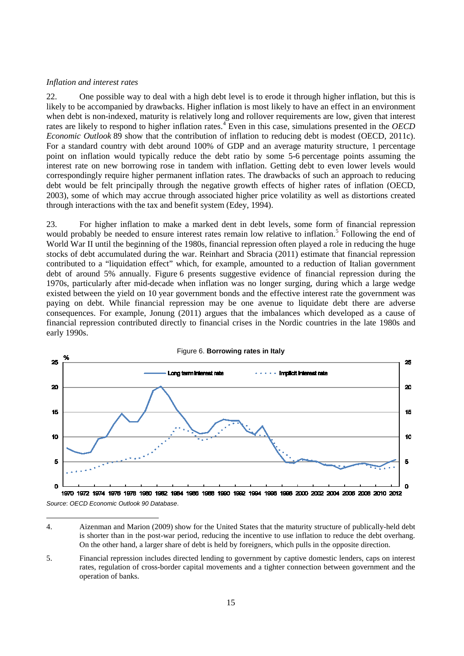### *Inflation and interest rates*

22. One possible way to deal with a high debt level is to erode it through higher inflation, but this is likely to be accompanied by drawbacks. Higher inflation is most likely to have an effect in an environment when debt is non-indexed, maturity is relatively long and rollover requirements are low, given that interest rates are likely to respond to higher inflation rates.<sup>[4](#page-14-0)</sup> Even in this case, simulations presented in the *OECD Economic Outlook* 89 show that the contribution of inflation to reducing debt is modest (OECD, 2011c). For a standard country with debt around 100% of GDP and an average maturity structure, 1 percentage point on inflation would typically reduce the debt ratio by some 5-6 percentage points assuming the interest rate on new borrowing rose in tandem with inflation. Getting debt to even lower levels would correspondingly require higher permanent inflation rates. The drawbacks of such an approach to reducing debt would be felt principally through the negative growth effects of higher rates of inflation (OECD, 2003), some of which may accrue through associated higher price volatility as well as distortions created through interactions with the tax and benefit system (Edey, 1994).

23. For higher inflation to make a marked dent in debt levels, some form of financial repression would probably be needed to ensure interest rates remain low relative to inflation.<sup>[5](#page-14-1)</sup> Following the end of World War II until the beginning of the 1980s, financial repression often played a role in reducing the huge stocks of debt accumulated during the war. Reinhart and Sbracia (2011) estimate that financial repression contributed to a "liquidation effect" which, for example, amounted to a reduction of Italian government debt of around 5% annually. Figure 6 presents suggestive evidence of financial repression during the 1970s, particularly after mid-decade when inflation was no longer surging, during which a large wedge existed between the yield on 10 year government bonds and the effective interest rate the government was paying on debt. While financial repression may be one avenue to liquidate debt there are adverse consequences. For example, Jonung (2011) argues that the imbalances which developed as a cause of financial repression contributed directly to financial crises in the Nordic countries in the late 1980s and early 1990s.



#### Figure 6. **Borrowing rates in Italy**

*Source*: *OECD Economic Outlook 90 Database*.

 $\overline{a}$ 

<span id="page-14-0"></span><sup>4.</sup> Aizenman and Marion (2009) show for the United States that the maturity structure of publically-held debt is shorter than in the post-war period, reducing the incentive to use inflation to reduce the debt overhang. On the other hand, a larger share of debt is held by foreigners, which pulls in the opposite direction.

<span id="page-14-1"></span><sup>5.</sup> Financial repression includes directed lending to government by captive domestic lenders, caps on interest rates, regulation of cross-border capital movements and a tighter connection between government and the operation of banks.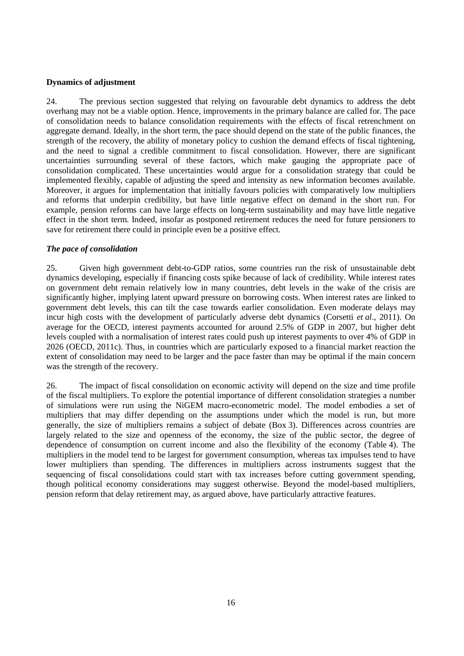# **Dynamics of adjustment**

24. The previous section suggested that relying on favourable debt dynamics to address the debt overhang may not be a viable option. Hence, improvements in the primary balance are called for. The pace of consolidation needs to balance consolidation requirements with the effects of fiscal retrenchment on aggregate demand. Ideally, in the short term, the pace should depend on the state of the public finances, the strength of the recovery, the ability of monetary policy to cushion the demand effects of fiscal tightening, and the need to signal a credible commitment to fiscal consolidation. However, there are significant uncertainties surrounding several of these factors, which make gauging the appropriate pace of consolidation complicated. These uncertainties would argue for a consolidation strategy that could be implemented flexibly, capable of adjusting the speed and intensity as new information becomes available. Moreover, it argues for implementation that initially favours policies with comparatively low multipliers and reforms that underpin credibility, but have little negative effect on demand in the short run. For example, pension reforms can have large effects on long-term sustainability and may have little negative effect in the short term. Indeed, insofar as postponed retirement reduces the need for future pensioners to save for retirement there could in principle even be a positive effect.

# *The pace of consolidation*

25. Given high government debt-to-GDP ratios, some countries run the risk of unsustainable debt dynamics developing, especially if financing costs spike because of lack of credibility. While interest rates on government debt remain relatively low in many countries, debt levels in the wake of the crisis are significantly higher, implying latent upward pressure on borrowing costs. When interest rates are linked to government debt levels, this can tilt the case towards earlier consolidation. Even moderate delays may incur high costs with the development of particularly adverse debt dynamics (Corsetti *et al*., 2011). On average for the OECD, interest payments accounted for around 2.5% of GDP in 2007, but higher debt levels coupled with a normalisation of interest rates could push up interest payments to over 4% of GDP in 2026 (OECD, 2011c). Thus, in countries which are particularly exposed to a financial market reaction the extent of consolidation may need to be larger and the pace faster than may be optimal if the main concern was the strength of the recovery.

26. The impact of fiscal consolidation on economic activity will depend on the size and time profile of the fiscal multipliers. To explore the potential importance of different consolidation strategies a number of simulations were run using the NiGEM macro-econometric model. The model embodies a set of multipliers that may differ depending on the assumptions under which the model is run, but more generally, the size of multipliers remains a subject of debate (Box 3). Differences across countries are largely related to the size and openness of the economy, the size of the public sector, the degree of dependence of consumption on current income and also the flexibility of the economy (Table 4). The multipliers in the model tend to be largest for government consumption, whereas tax impulses tend to have lower multipliers than spending. The differences in multipliers across instruments suggest that the sequencing of fiscal consolidations could start with tax increases before cutting government spending, though political economy considerations may suggest otherwise. Beyond the model-based multipliers, pension reform that delay retirement may, as argued above, have particularly attractive features.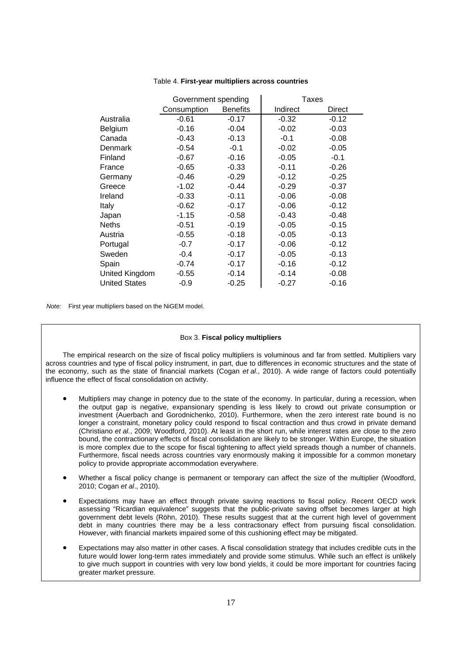|                      | Government spending |                 | Taxes    |               |  |  |
|----------------------|---------------------|-----------------|----------|---------------|--|--|
|                      | Consumption         | <b>Benefits</b> | Indirect | <b>Direct</b> |  |  |
| Australia            | $-0.61$             | $-0.17$         | $-0.32$  | $-0.12$       |  |  |
| Belgium              | $-0.16$             | $-0.04$         | $-0.02$  | $-0.03$       |  |  |
| Canada               | $-0.43$             | $-0.13$         | $-0.1$   | $-0.08$       |  |  |
| Denmark              | $-0.54$             | $-0.1$          | $-0.02$  | $-0.05$       |  |  |
| Finland              | $-0.67$             | $-0.16$         | $-0.05$  | $-0.1$        |  |  |
| France               | $-0.65$             | $-0.33$         | $-0.11$  | $-0.26$       |  |  |
| Germany              | $-0.46$             | $-0.29$         | $-0.12$  | $-0.25$       |  |  |
| Greece               | $-1.02$             | $-0.44$         | $-0.29$  | $-0.37$       |  |  |
| Ireland              | $-0.33$             | $-0.11$         | $-0.06$  | $-0.08$       |  |  |
| Italy                | $-0.62$             | $-0.17$         | $-0.06$  | $-0.12$       |  |  |
| Japan                | $-1.15$             | $-0.58$         | $-0.43$  | $-0.48$       |  |  |
| <b>Neths</b>         | $-0.51$             | $-0.19$         | $-0.05$  | $-0.15$       |  |  |
| Austria              | $-0.55$             | $-0.18$         | $-0.05$  | $-0.13$       |  |  |
| Portugal             | $-0.7$              | $-0.17$         | $-0.06$  | $-0.12$       |  |  |
| Sweden               | $-0.4$              | $-0.17$         | $-0.05$  | $-0.13$       |  |  |
| Spain                | $-0.74$             | $-0.17$         | $-0.16$  | $-0.12$       |  |  |
| United Kingdom       | $-0.55$             | $-0.14$         | $-0.14$  | $-0.08$       |  |  |
| <b>United States</b> | $-0.9$              | $-0.25$         | $-0.27$  | $-0.16$       |  |  |

#### Table 4. **First-year multipliers across countries**

*Note:* First year multipliers based on the NiGEM model.

#### Box 3. **Fiscal policy multipliers**

The empirical research on the size of fiscal policy multipliers is voluminous and far from settled. Multipliers vary across countries and type of fiscal policy instrument, in part, due to differences in economic structures and the state of the economy, such as the state of financial markets (Cogan *et al*., 2010). A wide range of factors could potentially influence the effect of fiscal consolidation on activity.

- Multipliers may change in potency due to the state of the economy. In particular, during a recession, when the output gap is negative, expansionary spending is less likely to crowd out private consumption or investment (Auerbach and Gorodnichenko, 2010). Furthermore, when the zero interest rate bound is no longer a constraint, monetary policy could respond to fiscal contraction and thus crowd in private demand (Christiano *et al.*, 2009; Woodford, 2010). At least in the short run, while interest rates are close to the zero bound, the contractionary effects of fiscal consolidation are likely to be stronger. Within Europe, the situation is more complex due to the scope for fiscal tightening to affect yield spreads though a number of channels. Furthermore, fiscal needs across countries vary enormously making it impossible for a common monetary policy to provide appropriate accommodation everywhere.
- Whether a fiscal policy change is permanent or temporary can affect the size of the multiplier (Woodford, 2010; Cogan *et al*., 2010).
- Expectations may have an effect through private saving reactions to fiscal policy. Recent OECD work assessing "Ricardian equivalence" suggests that the public-private saving offset becomes larger at high government debt levels (Röhn, 2010). These results suggest that at the current high level of government debt in many countries there may be a less contractionary effect from pursuing fiscal consolidation. However, with financial markets impaired some of this cushioning effect may be mitigated.
- Expectations may also matter in other cases. A fiscal consolidation strategy that includes credible cuts in the future would lower long-term rates immediately and provide some stimulus. While such an effect is unlikely to give much support in countries with very low bond yields, it could be more important for countries facing greater market pressure.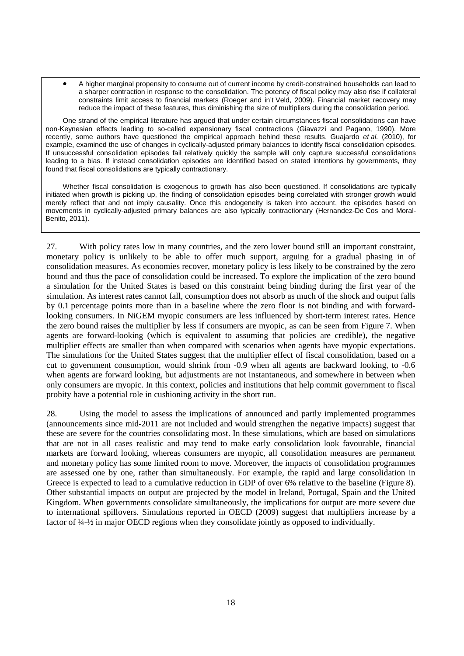• A higher marginal propensity to consume out of current income by credit-constrained households can lead to a sharper contraction in response to the consolidation. The potency of fiscal policy may also rise if collateral constraints limit access to financial markets (Roeger and in't Veld, 2009). Financial market recovery may reduce the impact of these features, thus diminishing the size of multipliers during the consolidation period.

One strand of the empirical literature has argued that under certain circumstances fiscal consolidations can have non-Keynesian effects leading to so-called expansionary fiscal contractions (Giavazzi and Pagano, 1990). More recently, some authors have questioned the empirical approach behind these results. Guajardo *et al.* (2010), for example, examined the use of changes in cyclically-adjusted primary balances to identify fiscal consolidation episodes. If unsuccessful consolidation episodes fail relatively quickly the sample will only capture successful consolidations leading to a bias. If instead consolidation episodes are identified based on stated intentions by governments, they found that fiscal consolidations are typically contractionary.

Whether fiscal consolidation is exogenous to growth has also been questioned. If consolidations are typically initiated when growth is picking up, the finding of consolidation episodes being correlated with stronger growth would merely reflect that and not imply causality. Once this endogeneity is taken into account, the episodes based on movements in cyclically-adjusted primary balances are also typically contractionary (Hernandez-De Cos and Moral-Benito, 2011).

27. With policy rates low in many countries, and the zero lower bound still an important constraint, monetary policy is unlikely to be able to offer much support, arguing for a gradual phasing in of consolidation measures. As economies recover, monetary policy is less likely to be constrained by the zero bound and thus the pace of consolidation could be increased. To explore the implication of the zero bound a simulation for the United States is based on this constraint being binding during the first year of the simulation. As interest rates cannot fall, consumption does not absorb as much of the shock and output falls by 0.1 percentage points more than in a baseline where the zero floor is not binding and with forwardlooking consumers. In NiGEM myopic consumers are less influenced by short-term interest rates. Hence the zero bound raises the multiplier by less if consumers are myopic, as can be seen from Figure 7. When agents are forward-looking (which is equivalent to assuming that policies are credible), the negative multiplier effects are smaller than when compared with scenarios when agents have myopic expectations. The simulations for the United States suggest that the multiplier effect of fiscal consolidation, based on a cut to government consumption, would shrink from -0.9 when all agents are backward looking, to -0.6 when agents are forward looking, but adjustments are not instantaneous, and somewhere in between when only consumers are myopic. In this context, policies and institutions that help commit government to fiscal probity have a potential role in cushioning activity in the short run.

28. Using the model to assess the implications of announced and partly implemented programmes (announcements since mid-2011 are not included and would strengthen the negative impacts) suggest that these are severe for the countries consolidating most. In these simulations, which are based on simulations that are not in all cases realistic and may tend to make early consolidation look favourable, financial markets are forward looking, whereas consumers are myopic, all consolidation measures are permanent and monetary policy has some limited room to move. Moreover, the impacts of consolidation programmes are assessed one by one, rather than simultaneously. For example, the rapid and large consolidation in Greece is expected to lead to a cumulative reduction in GDP of over 6% relative to the baseline (Figure 8). Other substantial impacts on output are projected by the model in Ireland, Portugal, Spain and the United Kingdom. When governments consolidate simultaneously, the implications for output are more severe due to international spillovers. Simulations reported in OECD (2009) suggest that multipliers increase by a factor of ¼-½ in major OECD regions when they consolidate jointly as opposed to individually.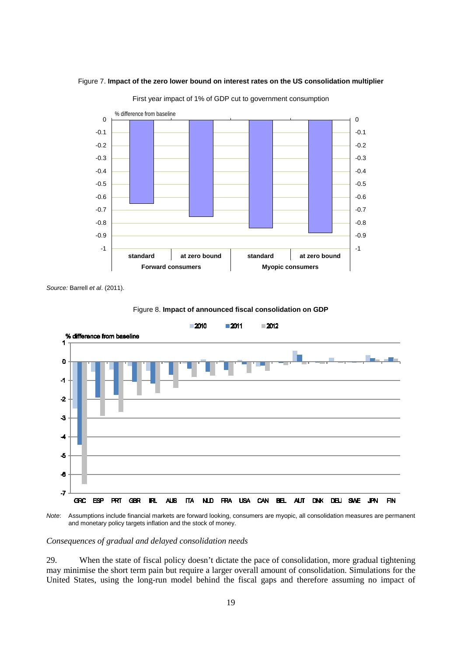

-1 -0.9 -0.8 -0.7 -0.6 -0.5 -0.4 -0.3 -0.2 -0.1 0 -1 -0.9 -0.8 -0.7 -0.6 -0.5 -0.4 -0.3 -0.2 -0.1  $\Omega$ **standard at zero bound standard at zero bound Forward consumers Myopic consumers** % difference from baseline

First year impact of 1% of GDP cut to government consumption

*Source:* Barrell *et al*. (2011).





*Note*: Assumptions include financial markets are forward looking, consumers are myopic, all consolidation measures are permanent and monetary policy targets inflation and the stock of money.

*Consequences of gradual and delayed consolidation needs*

29. When the state of fiscal policy doesn't dictate the pace of consolidation, more gradual tightening may minimise the short term pain but require a larger overall amount of consolidation. Simulations for the United States, using the long-run model behind the fiscal gaps and therefore assuming no impact of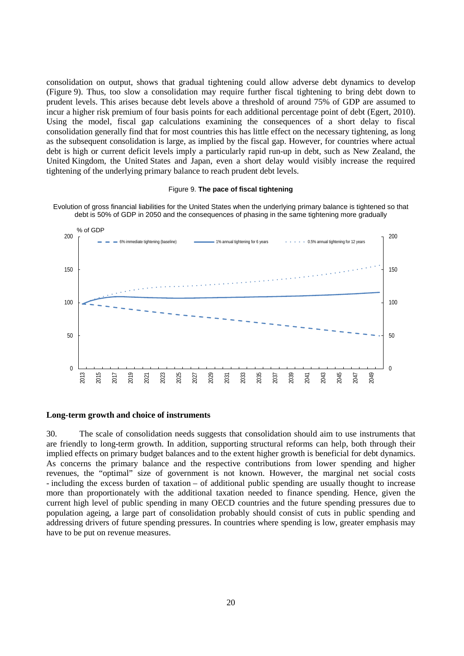consolidation on output, shows that gradual tightening could allow adverse debt dynamics to develop (Figure 9). Thus, too slow a consolidation may require further fiscal tightening to bring debt down to prudent levels. This arises because debt levels above a threshold of around 75% of GDP are assumed to incur a higher risk premium of four basis points for each additional percentage point of debt (Egert, 2010). Using the model, fiscal gap calculations examining the consequences of a short delay to fiscal consolidation generally find that for most countries this has little effect on the necessary tightening, as long as the subsequent consolidation is large, as implied by the fiscal gap. However, for countries where actual debt is high or current deficit levels imply a particularly rapid run-up in debt, such as New Zealand, the United Kingdom, the United States and Japan, even a short delay would visibly increase the required tightening of the underlying primary balance to reach prudent debt levels.

#### Figure 9. **The pace of fiscal tightening**

Evolution of gross financial liabilities for the United States when the underlying primary balance is tightened so that debt is 50% of GDP in 2050 and the consequences of phasing in the same tightening more gradually



#### **Long-term growth and choice of instruments**

30. The scale of consolidation needs suggests that consolidation should aim to use instruments that are friendly to long-term growth. In addition, supporting structural reforms can help, both through their implied effects on primary budget balances and to the extent higher growth is beneficial for debt dynamics. As concerns the primary balance and the respective contributions from lower spending and higher revenues, the "optimal" size of government is not known. However, the marginal net social costs - including the excess burden of taxation – of additional public spending are usually thought to increase more than proportionately with the additional taxation needed to finance spending. Hence, given the current high level of public spending in many OECD countries and the future spending pressures due to population ageing, a large part of consolidation probably should consist of cuts in public spending and addressing drivers of future spending pressures. In countries where spending is low, greater emphasis may have to be put on revenue measures.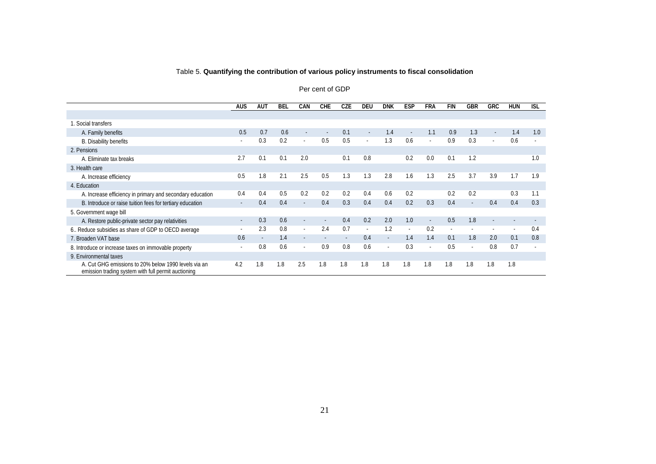# Table 5. **Quantifying the contribution of various policy instruments to fiscal consolidation**

| Per cent of GDP |
|-----------------|
|                 |

|                                                                                                             | <b>AUS</b>               | <b>AUT</b> | <b>BEL</b> | CAN                      | <b>CHE</b> | <b>CZE</b>               | <b>DEU</b>               | <b>DNK</b> | <b>ESP</b>               | <b>FRA</b>               | <b>FIN</b>               | <b>GBR</b>               | <b>GRC</b>               | <b>HUN</b> | <b>ISL</b> |
|-------------------------------------------------------------------------------------------------------------|--------------------------|------------|------------|--------------------------|------------|--------------------------|--------------------------|------------|--------------------------|--------------------------|--------------------------|--------------------------|--------------------------|------------|------------|
|                                                                                                             |                          |            |            |                          |            |                          |                          |            |                          |                          |                          |                          |                          |            |            |
| 1. Social transfers                                                                                         |                          |            |            |                          |            |                          |                          |            |                          |                          |                          |                          |                          |            |            |
| A. Family benefits                                                                                          | 0.5                      | 0.7        | 0.6        |                          |            | 0.1                      | $\overline{\phantom{a}}$ | 1.4        |                          | 1.1                      | 0.9                      | 1.3                      | $\overline{\phantom{a}}$ | 1.4        | 1.0        |
| B. Disability benefits                                                                                      | $\overline{\phantom{a}}$ | 0.3        | 0.2        | ٠                        | 0.5        | 0.5                      | ٠                        | 1.3        | 0.6                      | $\sim$                   | 0.9                      | 0.3                      | $\overline{\phantom{a}}$ | 0.6        |            |
| 2. Pensions                                                                                                 |                          |            |            |                          |            |                          |                          |            |                          |                          |                          |                          |                          |            |            |
| A. Eliminate tax breaks                                                                                     | 2.7                      | 0.1        | 0.1        | 2.0                      |            | 0.1                      | 0.8                      |            | 0.2                      | 0.0                      | 0.1                      | 1.2                      |                          |            | 1.0        |
| 3. Health care                                                                                              |                          |            |            |                          |            |                          |                          |            |                          |                          |                          |                          |                          |            |            |
| A. Increase efficiency                                                                                      | 0.5                      | 1.8        | 2.1        | 2.5                      | 0.5        | 1.3                      | 1.3                      | 2.8        | 1.6                      | 1.3                      | 2.5                      | 3.7                      | 3.9                      | 1.7        | 1.9        |
| 4. Education                                                                                                |                          |            |            |                          |            |                          |                          |            |                          |                          |                          |                          |                          |            |            |
| A. Increase efficiency in primary and secondary education                                                   | 0.4                      | 0.4        | 0.5        | 0.2                      | 0.2        | 0.2                      | 0.4                      | 0.6        | 0.2                      |                          | 0.2                      | 0.2                      |                          | 0.3        | 1.1        |
| B. Introduce or raise tuition fees for tertiary education                                                   | $\overline{\phantom{a}}$ | 0.4        | 0.4        | $\sim$                   | 0.4        | 0.3                      | 0.4                      | 0.4        | 0.2                      | 0.3                      | 0.4                      |                          | 0.4                      | 0.4        | 0.3        |
| 5. Government wage bill                                                                                     |                          |            |            |                          |            |                          |                          |            |                          |                          |                          |                          |                          |            |            |
| A. Restore public-private sector pay relativities                                                           | $\overline{\phantom{a}}$ | 0.3        | 0.6        | ٠                        |            | 0.4                      | 0.2                      | 2.0        | 1.0                      | $\overline{\phantom{a}}$ | 0.5                      | 1.8                      |                          |            |            |
| 6. Reduce subsidies as share of GDP to OECD average                                                         | $\sim$                   | 2.3        | 0.8        | $\overline{\phantom{a}}$ | 2.4        | 0.7                      | $\sim$                   | 1.2        | $\overline{\phantom{a}}$ | 0.2                      | $\overline{\phantom{a}}$ |                          |                          | $\sim$     | 0.4        |
| 7. Broaden VAT base                                                                                         | 0.6                      | $\sim$     | 1.4        | $\overline{\phantom{a}}$ | $\sim$     | $\overline{\phantom{a}}$ | 0.4                      | $\sim$     | 1.4                      | 1.4                      | 0.1                      | 1.8                      | 2.0                      | 0.1        | 0.8        |
| 8. Introduce or increase taxes on immovable property                                                        | $\sim$                   | 0.8        | 0.6        | ٠                        | 0.9        | 0.8                      | 0.6                      | $\sim$     | 0.3                      | $\sim$                   | 0.5                      | $\overline{\phantom{a}}$ | 0.8                      | 0.7        |            |
| 9. Environmental taxes                                                                                      |                          |            |            |                          |            |                          |                          |            |                          |                          |                          |                          |                          |            |            |
| A. Cut GHG emissions to 20% below 1990 levels via an<br>emission trading system with full permit auctioning | 4.2                      | 1.8        | 1.8        | 2.5                      | 1.8        | 1.8                      | 1.8                      | 1.8        | 1.8                      | 1.8                      | 1.8                      | 1.8                      | 1.8                      | 1.8        |            |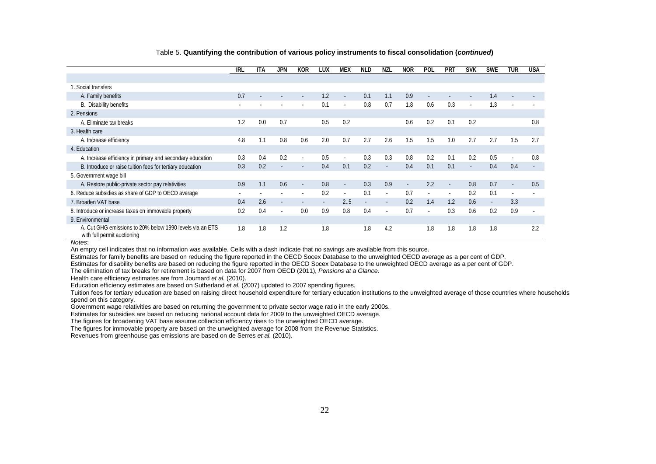|                                                                                         | <b>IRL</b> | <b>ITA</b>               | <b>JPN</b> | <b>KOR</b>               | LUX | <b>MEX</b>               | <b>NLD</b> | <b>NZL</b>     | <b>NOR</b>               | <b>POL</b> | <b>PRT</b> | <b>SVK</b>               | <b>SWE</b> | <b>TUR</b>               | <b>USA</b> |
|-----------------------------------------------------------------------------------------|------------|--------------------------|------------|--------------------------|-----|--------------------------|------------|----------------|--------------------------|------------|------------|--------------------------|------------|--------------------------|------------|
|                                                                                         |            |                          |            |                          |     |                          |            |                |                          |            |            |                          |            |                          |            |
| 1. Social transfers                                                                     |            |                          |            |                          |     |                          |            |                |                          |            |            |                          |            |                          |            |
| A. Family benefits                                                                      | 0.7        | $\overline{\phantom{a}}$ |            | $\overline{\phantom{a}}$ | 1.2 | $\overline{a}$           | 0.1        | 1.1            | 0.9                      | $\sim$     |            |                          | 1.4        |                          |            |
| B. Disability benefits                                                                  | $\sim$     |                          |            |                          | 0.1 | $\overline{\phantom{a}}$ | 0.8        | 0.7            | 1.8                      | 0.6        | 0.3        | $\sim$                   | 1.3        | $\sim$                   |            |
| 2. Pensions                                                                             |            |                          |            |                          |     |                          |            |                |                          |            |            |                          |            |                          |            |
| A. Eliminate tax breaks                                                                 | 1.2        | 0.0                      | 0.7        |                          | 0.5 | 0.2                      |            |                | 0.6                      | 0.2        | 0.1        | 0.2                      |            |                          | 0.8        |
| 3. Health care                                                                          |            |                          |            |                          |     |                          |            |                |                          |            |            |                          |            |                          |            |
| A. Increase efficiency                                                                  | 4.8        | 1.1                      | 0.8        | 0.6                      | 2.0 | 0.7                      | 2.7        | 2.6            | 1.5                      | $.5\,$     | 1.0        | 2.7                      | 2.7        | 1.5                      | 2.7        |
| 4. Education                                                                            |            |                          |            |                          |     |                          |            |                |                          |            |            |                          |            |                          |            |
| A. Increase efficiency in primary and secondary education                               | 0.3        | 0.4                      | 0.2        | $\overline{\phantom{a}}$ | 0.5 | $\sim$                   | 0.3        | 0.3            | 0.8                      | 0.2        | 0.1        | 0.2                      | 0.5        | $\overline{\phantom{a}}$ | 0.8        |
| B. Introduce or raise tuition fees for tertiary education                               | 0.3        | 0.2                      |            |                          | 0.4 | 0.1                      | 0.2        | $\blacksquare$ | 0.4                      | 0.1        | 0.1        | $\overline{\phantom{a}}$ | 0.4        | 0.4                      |            |
| 5. Government wage bill                                                                 |            |                          |            |                          |     |                          |            |                |                          |            |            |                          |            |                          |            |
| A. Restore public-private sector pay relativities                                       | 0.9        | 1.1                      | 0.6        | $\sim$                   | 0.8 | $\sim$                   | 0.3        | 0.9            | $\overline{\phantom{m}}$ | 2.2        | $\sim$     | 0.8                      | 0.7        | $\overline{\phantom{a}}$ | 0.5        |
| 6. Reduce subsidies as share of GDP to OECD average                                     | $\sim$     | $\overline{\phantom{a}}$ |            |                          | 0.2 | $\sim$                   | 0.1        | $\sim$         | 0.7                      | $\sim$     | $\sim$     | 0.2                      | 0.1        | $\sim$                   |            |
| 7. Broaden VAT base                                                                     | 0.4        | 2.6                      | $\sim$     |                          |     | 2.5                      |            | $\sim$         | 0.2                      | 1.4        | 1.2        | 0.6                      | $\sim$     | 3.3                      |            |
| 8. Introduce or increase taxes on immovable property                                    | 0.2        | 0.4                      | $\sim$     | 0.0                      | 0.9 | 0.8                      | 0.4        | $\sim$         | 0.7                      | $\sim$     | 0.3        | 0.6                      | 0.2        | 0.9                      |            |
| 9. Environmental                                                                        |            |                          |            |                          |     |                          |            |                |                          |            |            |                          |            |                          |            |
| A. Cut GHG emissions to 20% below 1990 levels via an ETS<br>with full permit auctioning | 1.8        | 1.8                      | 1.2        |                          | 1.8 |                          | 1.8        | 4.2            |                          | .8         | 1.8        | 1.8                      | 1.8        |                          | 2.2        |

#### Table 5. **Quantifying the contribution of various policy instruments to fiscal consolidation (***continued***)**

*Notes*:

An empty cell indicates that no information was available. Cells with a dash indicate that no savings are available from this source.

Estimates for family benefits are based on reducing the figure reported in the OECD Socex Database to the unweighted OECD average as a per cent of GDP.

Estimates for disability benefits are based on reducing the figure reported in the OECD Socex Database to the unweighted OECD average as a per cent of GDP.

The elimination of tax breaks for retirement is based on data for 2007 from OECD (2011), *Pensions at a Glance*.

Health care efficiency estimates are from Joumard *et al.* (2010).

Education efficiency estimates are based on Sutherland *et al.* (2007) updated to 2007 spending figures.

Tuition fees for tertiary education are based on raising direct household expenditure for tertiary education institutions to the unweighted average of those countries where households spend on this category.

Government wage relativities are based on returning the government to private sector wage ratio in the early 2000s.

Estimates for subsidies are based on reducing national account data for 2009 to the unweighted OECD average.

The figures for broadening VAT base assume collection efficiency rises to the unweighted OECD average.

The figures for immovable property are based on the unweighted average for 2008 from the Revenue Statistics.

Revenues from greenhouse gas emissions are based on de Serres *et al.* (2010).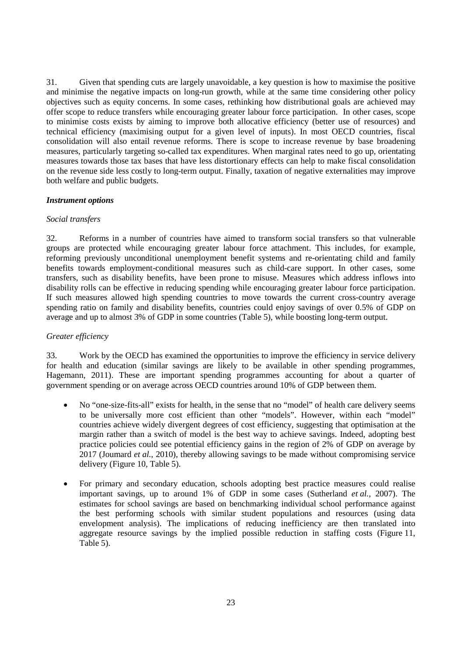31. Given that spending cuts are largely unavoidable, a key question is how to maximise the positive and minimise the negative impacts on long-run growth, while at the same time considering other policy objectives such as equity concerns. In some cases, rethinking how distributional goals are achieved may offer scope to reduce transfers while encouraging greater labour force participation. In other cases, scope to minimise costs exists by aiming to improve both allocative efficiency (better use of resources) and technical efficiency (maximising output for a given level of inputs). In most OECD countries, fiscal consolidation will also entail revenue reforms. There is scope to increase revenue by base broadening measures, particularly targeting so-called tax expenditures. When marginal rates need to go up, orientating measures towards those tax bases that have less distortionary effects can help to make fiscal consolidation on the revenue side less costly to long-term output. Finally, taxation of negative externalities may improve both welfare and public budgets.

# *Instrument options*

# *Social transfers*

32. Reforms in a number of countries have aimed to transform social transfers so that vulnerable groups are protected while encouraging greater labour force attachment. This includes, for example, reforming previously unconditional unemployment benefit systems and re-orientating child and family benefits towards employment-conditional measures such as child-care support. In other cases, some transfers, such as disability benefits, have been prone to misuse. Measures which address inflows into disability rolls can be effective in reducing spending while encouraging greater labour force participation. If such measures allowed high spending countries to move towards the current cross-country average spending ratio on family and disability benefits, countries could enjoy savings of over 0.5% of GDP on average and up to almost 3% of GDP in some countries (Table 5), while boosting long-term output.

# *Greater efficiency*

33. Work by the OECD has examined the opportunities to improve the efficiency in service delivery for health and education (similar savings are likely to be available in other spending programmes, Hagemann, 2011). These are important spending programmes accounting for about a quarter of government spending or on average across OECD countries around 10% of GDP between them.

- No "one-size-fits-all" exists for health, in the sense that no "model" of health care delivery seems to be universally more cost efficient than other "models". However, within each "model" countries achieve widely divergent degrees of cost efficiency, suggesting that optimisation at the margin rather than a switch of model is the best way to achieve savings. Indeed, adopting best practice policies could see potential efficiency gains in the region of 2% of GDP on average by 2017 (Joumard *et al.*, 2010), thereby allowing savings to be made without compromising service delivery (Figure 10, Table 5).
- For primary and secondary education, schools adopting best practice measures could realise important savings, up to around 1% of GDP in some cases (Sutherland *et al.*, 2007). The estimates for school savings are based on benchmarking individual school performance against the best performing schools with similar student populations and resources (using data envelopment analysis). The implications of reducing inefficiency are then translated into aggregate resource savings by the implied possible reduction in staffing costs (Figure 11, Table 5).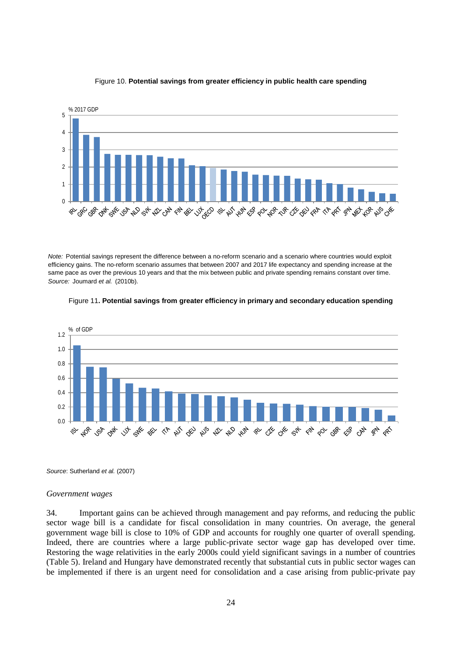

#### Figure 10. **Potential savings from greater efficiency in public health care spending**

*Source:* Joumard *et al.* (2010b). *Note:* Potential savings represent the difference between a no-reform scenario and a scenario where countries would exploit efficiency gains. The no-reform scenario assumes that between 2007 and 2017 life expectancy and spending increase at the same pace as over the previous 10 years and that the mix between public and private spending remains constant over time.



#### Figure 11**. Potential savings from greater efficiency in primary and secondary education spending**

*Source*: Sutherland *et al.* (2007)

#### *Government wages*

34. Important gains can be achieved through management and pay reforms, and reducing the public sector wage bill is a candidate for fiscal consolidation in many countries. On average, the general government wage bill is close to 10% of GDP and accounts for roughly one quarter of overall spending. Indeed, there are countries where a large public-private sector wage gap has developed over time. Restoring the wage relativities in the early 2000s could yield significant savings in a number of countries (Table 5). Ireland and Hungary have demonstrated recently that substantial cuts in public sector wages can be implemented if there is an urgent need for consolidation and a case arising from public-private pay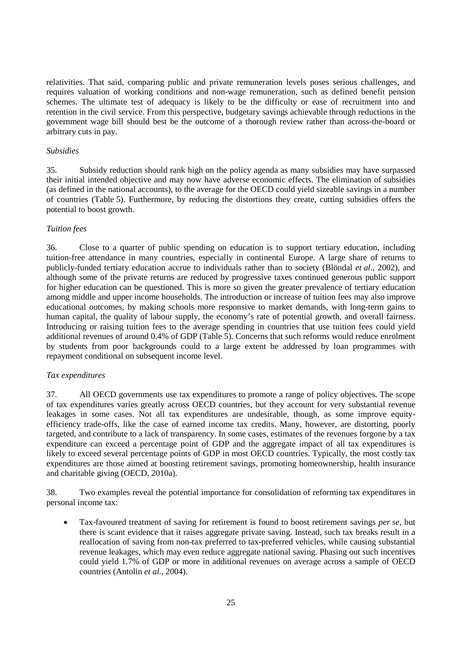relativities. That said, comparing public and private remuneration levels poses serious challenges, and requires valuation of working conditions and non-wage remuneration, such as defined benefit pension schemes. The ultimate test of adequacy is likely to be the difficulty or ease of recruitment into and retention in the civil service. From this perspective, budgetary savings achievable through reductions in the government wage bill should best be the outcome of a thorough review rather than across-the-board or arbitrary cuts in pay.

# *Subsidies*

35. Subsidy reduction should rank high on the policy agenda as many subsidies may have surpassed their initial intended objective and may now have adverse economic effects. The elimination of subsidies (as defined in the national accounts), to the average for the OECD could yield sizeable savings in a number of countries (Table 5). Furthermore, by reducing the distortions they create, cutting subsidies offers the potential to boost growth.

# *Tuition fees*

36. Close to a quarter of public spending on education is to support tertiary education, including tuition-free attendance in many countries, especially in continental Europe. A large share of returns to publicly-funded tertiary education accrue to individuals rather than to society (Blöndal *et al.*, 2002), and although some of the private returns are reduced by progressive taxes continued generous public support for higher education can be questioned. This is more so given the greater prevalence of tertiary education among middle and upper income households. The introduction or increase of tuition fees may also improve educational outcomes, by making schools more responsive to market demands, with long-term gains to human capital, the quality of labour supply, the economy's rate of potential growth, and overall fairness. Introducing or raising tuition fees to the average spending in countries that use tuition fees could yield additional revenues of around 0.4% of GDP (Table 5). Concerns that such reforms would reduce enrolment by students from poor backgrounds could to a large extent be addressed by loan programmes with repayment conditional on subsequent income level.

# *Tax expenditures*

37. All OECD governments use tax expenditures to promote a range of policy objectives. The scope of tax expenditures varies greatly across OECD countries, but they account for very substantial revenue leakages in some cases. Not all tax expenditures are undesirable, though, as some improve equityefficiency trade-offs, like the case of earned income tax credits. Many, however, are distorting, poorly targeted, and contribute to a lack of transparency. In some cases, estimates of the revenues forgone by a tax expenditure can exceed a percentage point of GDP and the aggregate impact of all tax expenditures is likely to exceed several percentage points of GDP in most OECD countries. Typically, the most costly tax expenditures are those aimed at boosting retirement savings, promoting homeownership, health insurance and charitable giving (OECD, 2010a).

38. Two examples reveal the potential importance for consolidation of reforming tax expenditures in personal income tax:

• Tax-favoured treatment of saving for retirement is found to boost retirement savings *per se*, but there is scant evidence that it raises aggregate private saving. Instead, such tax breaks result in a reallocation of saving from non-tax preferred to tax-preferred vehicles, while causing substantial revenue leakages, which may even reduce aggregate national saving. Phasing out such incentives could yield 1.7% of GDP or more in additional revenues on average across a sample of OECD countries (Antolin *et al.*, 2004).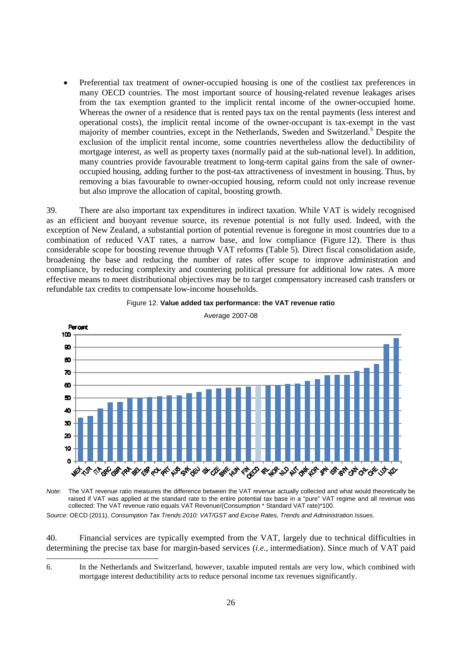• Preferential tax treatment of owner-occupied housing is one of the costliest tax preferences in many OECD countries. The most important source of housing-related revenue leakages arises from the tax exemption granted to the implicit rental income of the owner-occupied home. Whereas the owner of a residence that is rented pays tax on the rental payments (less interest and operational costs), the implicit rental income of the owner-occupant is tax-exempt in the vast majority of member countries, except in the Netherlands, Sweden and Switzerland.<sup>[6](#page-25-0)</sup> Despite the exclusion of the implicit rental income, some countries nevertheless allow the deductibility of mortgage interest, as well as property taxes (normally paid at the sub-national level). In addition, many countries provide favourable treatment to long-term capital gains from the sale of owneroccupied housing, adding further to the post-tax attractiveness of investment in housing. Thus, by removing a bias favourable to owner-occupied housing, reform could not only increase revenue but also improve the allocation of capital, boosting growth.

39. There are also important tax expenditures in indirect taxation. While VAT is widely recognised as an efficient and buoyant revenue source, its revenue potential is not fully used. Indeed, with the exception of New Zealand, a substantial portion of potential revenue is foregone in most countries due to a combination of reduced VAT rates, a narrow base, and low compliance (Figure 12). There is thus considerable scope for boosting revenue through VAT reforms (Table 5). Direct fiscal consolidation aside, broadening the base and reducing the number of rates offer scope to improve administration and compliance, by reducing complexity and countering political pressure for additional low rates. A more effective means to meet distributional objectives may be to target compensatory increased cash transfers or refundable tax credits to compensate low-income households.





*Note*: The VAT revenue ratio measures the difference between the VAT revenue actually collected and what would theoretically be raised if VAT was applied at the standard rate to the entire potential tax base in a "pure" VAT regime and all revenue was collected: The VAT revenue ratio equals VAT Revenue/(Consumption \* Standard VAT rate)\*100.

*Source*: OECD (2011), *Consumption Tax Trends 2010: VAT/GST and Excise Rates, Trends and Administration Issues*.

 $\overline{a}$ 

40. Financial services are typically exempted from the VAT, largely due to technical difficulties in determining the precise tax base for margin-based services (*i.e.*, intermediation). Since much of VAT paid

<span id="page-25-0"></span><sup>6.</sup> In the Netherlands and Switzerland, however, taxable imputed rentals are very low, which combined with mortgage interest deductibility acts to reduce personal income tax revenues significantly.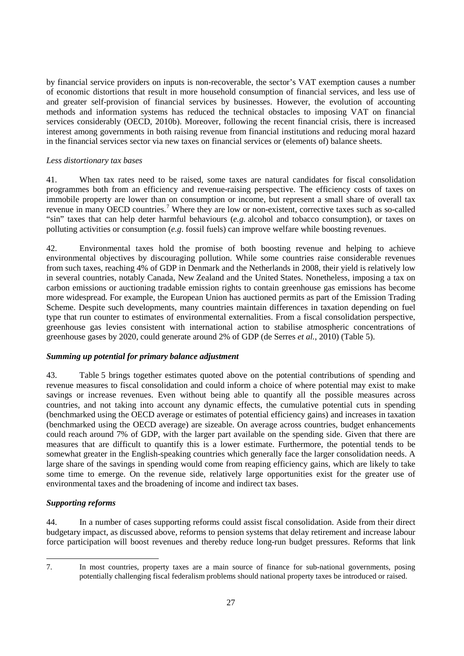by financial service providers on inputs is non-recoverable, the sector's VAT exemption causes a number of economic distortions that result in more household consumption of financial services, and less use of and greater self-provision of financial services by businesses. However, the evolution of accounting methods and information systems has reduced the technical obstacles to imposing VAT on financial services considerably (OECD, 2010b). Moreover, following the recent financial crisis, there is increased interest among governments in both raising revenue from financial institutions and reducing moral hazard in the financial services sector via new taxes on financial services or (elements of) balance sheets.

# *Less distortionary tax bases*

41. When tax rates need to be raised, some taxes are natural candidates for fiscal consolidation programmes both from an efficiency and revenue-raising perspective. The efficiency costs of taxes on immobile property are lower than on consumption or income, but represent a small share of overall tax revenue in many OECD countries.<sup>[7](#page-26-0)</sup> Where they are low or non-existent, corrective taxes such as so-called "sin" taxes that can help deter harmful behaviours (*e.g.* alcohol and tobacco consumption), or taxes on polluting activities or consumption (*e.g*. fossil fuels) can improve welfare while boosting revenues.

42. Environmental taxes hold the promise of both boosting revenue and helping to achieve environmental objectives by discouraging pollution. While some countries raise considerable revenues from such taxes, reaching 4% of GDP in Denmark and the Netherlands in 2008, their yield is relatively low in several countries, notably Canada, New Zealand and the United States. Nonetheless, imposing a tax on carbon emissions or auctioning tradable emission rights to contain greenhouse gas emissions has become more widespread. For example, the European Union has auctioned permits as part of the Emission Trading Scheme. Despite such developments, many countries maintain differences in taxation depending on fuel type that run counter to estimates of environmental externalities. From a fiscal consolidation perspective, greenhouse gas levies consistent with international action to stabilise atmospheric concentrations of greenhouse gases by 2020, could generate around 2% of GDP (de Serres *et al.*, 2010) (Table 5).

# *Summing up potential for primary balance adjustment*

43. Table 5 brings together estimates quoted above on the potential contributions of spending and revenue measures to fiscal consolidation and could inform a choice of where potential may exist to make savings or increase revenues. Even without being able to quantify all the possible measures across countries, and not taking into account any dynamic effects, the cumulative potential cuts in spending (benchmarked using the OECD average or estimates of potential efficiency gains) and increases in taxation (benchmarked using the OECD average) are sizeable. On average across countries, budget enhancements could reach around 7% of GDP, with the larger part available on the spending side. Given that there are measures that are difficult to quantify this is a lower estimate. Furthermore, the potential tends to be somewhat greater in the English-speaking countries which generally face the larger consolidation needs. A large share of the savings in spending would come from reaping efficiency gains, which are likely to take some time to emerge. On the revenue side, relatively large opportunities exist for the greater use of environmental taxes and the broadening of income and indirect tax bases.

# *Supporting reforms*

44. In a number of cases supporting reforms could assist fiscal consolidation. Aside from their direct budgetary impact, as discussed above, reforms to pension systems that delay retirement and increase labour force participation will boost revenues and thereby reduce long-run budget pressures. Reforms that link

<span id="page-26-0"></span> $\overline{a}$ 7. In most countries, property taxes are a main source of finance for sub-national governments, posing potentially challenging fiscal federalism problems should national property taxes be introduced or raised.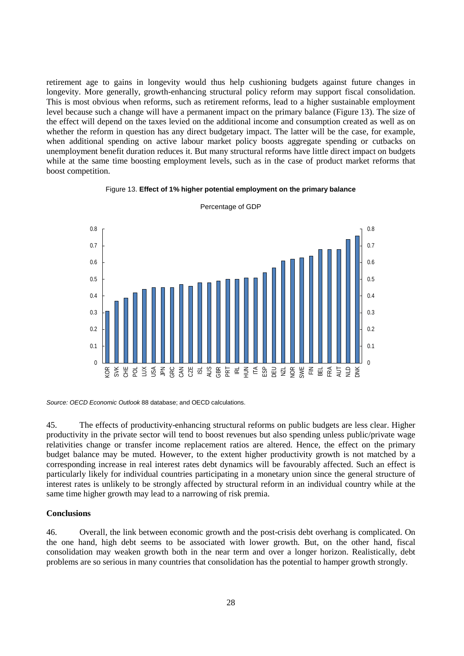retirement age to gains in longevity would thus help cushioning budgets against future changes in longevity. More generally, growth-enhancing structural policy reform may support fiscal consolidation. This is most obvious when reforms, such as retirement reforms, lead to a higher sustainable employment level because such a change will have a permanent impact on the primary balance (Figure 13). The size of the effect will depend on the taxes levied on the additional income and consumption created as well as on whether the reform in question has any direct budgetary impact. The latter will be the case, for example, when additional spending on active labour market policy boosts aggregate spending or cutbacks on unemployment benefit duration reduces it. But many structural reforms have little direct impact on budgets while at the same time boosting employment levels, such as in the case of product market reforms that boost competition.



Figure 13. **Effect of 1% higher potential employment on the primary balance**

*Source: OECD Economic Outlook* 88 database; and OECD calculations.

45. The effects of productivity-enhancing structural reforms on public budgets are less clear. Higher productivity in the private sector will tend to boost revenues but also spending unless public/private wage relativities change or transfer income replacement ratios are altered. Hence, the effect on the primary budget balance may be muted. However, to the extent higher productivity growth is not matched by a corresponding increase in real interest rates debt dynamics will be favourably affected. Such an effect is particularly likely for individual countries participating in a monetary union since the general structure of interest rates is unlikely to be strongly affected by structural reform in an individual country while at the same time higher growth may lead to a narrowing of risk premia.

#### **Conclusions**

46. Overall, the link between economic growth and the post-crisis debt overhang is complicated. On the one hand, high debt seems to be associated with lower growth. But, on the other hand, fiscal consolidation may weaken growth both in the near term and over a longer horizon. Realistically, debt problems are so serious in many countries that consolidation has the potential to hamper growth strongly.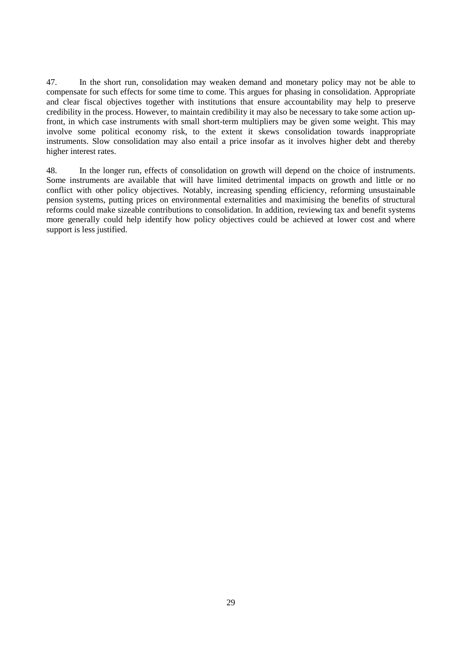47. In the short run, consolidation may weaken demand and monetary policy may not be able to compensate for such effects for some time to come. This argues for phasing in consolidation. Appropriate and clear fiscal objectives together with institutions that ensure accountability may help to preserve credibility in the process. However, to maintain credibility it may also be necessary to take some action upfront, in which case instruments with small short-term multipliers may be given some weight. This may involve some political economy risk, to the extent it skews consolidation towards inappropriate instruments. Slow consolidation may also entail a price insofar as it involves higher debt and thereby higher interest rates.

48. In the longer run, effects of consolidation on growth will depend on the choice of instruments. Some instruments are available that will have limited detrimental impacts on growth and little or no conflict with other policy objectives. Notably, increasing spending efficiency, reforming unsustainable pension systems, putting prices on environmental externalities and maximising the benefits of structural reforms could make sizeable contributions to consolidation. In addition, reviewing tax and benefit systems more generally could help identify how policy objectives could be achieved at lower cost and where support is less justified.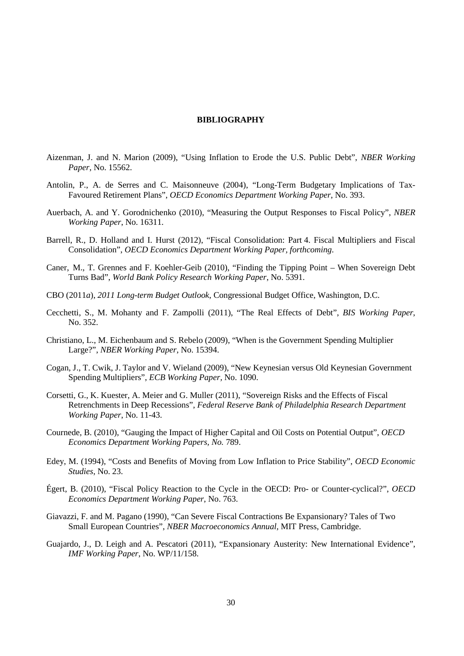#### **BIBLIOGRAPHY**

- Aizenman, J. and N. Marion (2009), "Using Inflation to Erode the U.S. Public Debt", *NBER Working Paper*, No. 15562.
- Antolin, P., A. de Serres and C. Maisonneuve (2004), "Long-Term Budgetary Implications of Tax-Favoured Retirement Plans", *OECD Economics Department Working Paper*, No. 393.
- Auerbach, A. and Y. Gorodnichenko (2010), "Measuring the Output Responses to Fiscal Policy", *NBER Working Paper*, No. 16311.
- Barrell, R., D. Holland and I. Hurst (2012), "Fiscal Consolidation: Part 4. Fiscal Multipliers and Fiscal Consolidation", *OECD Economics Department Working Paper, forthcoming*.
- Caner, M., T. Grennes and F. Koehler-Geib (2010), "Finding the Tipping Point When Sovereign Debt Turns Bad", *World Bank Policy Research Working Paper*, No. 5391.
- CBO (2011*a*), *2011 Long-term Budget Outlook*, Congressional Budget Office, Washington, D.C.
- Cecchetti, S., M. Mohanty and F. Zampolli (2011), "The Real Effects of Debt", *BIS Working Paper*, No. 352.
- Christiano, L., M. Eichenbaum and S. Rebelo (2009), "When is the Government Spending Multiplier Large?", *NBER Working Paper*, No. 15394.
- Cogan, J., T. Cwik, J. Taylor and V. Wieland (2009), "New Keynesian versus Old Keynesian Government Spending Multipliers", *ECB Working Paper,* No. 1090.
- Corsetti, G., K. Kuester, A. Meier and G. Muller (2011), "Sovereign Risks and the Effects of Fiscal Retrenchments in Deep Recessions", *Federal Reserve Bank of Philadelphia Research Department Working Paper*, No. 11-43.
- Cournede, B. (2010), ["Gauging the Impact of Higher Capital and Oil Costs on Potential Output"](http://ideas.repec.org/p/oec/ecoaaa/789-en.html), *[OECD](http://ideas.repec.org/s/oec/ecoaaa.html)  [Economics Department Working Papers,](http://ideas.repec.org/s/oec/ecoaaa.html) No.* 789.
- Edey, M. (1994), "Costs and Benefits of Moving from Low Inflation to Price Stability", *OECD Economic Studies*, No. 23.
- Égert, B. (2010), "Fiscal Policy Reaction to the Cycle in the OECD: Pro- or Counter-cyclical?", *OECD Economics Department Working Paper*, No. 763.
- Giavazzi, F. and M. Pagano (1990), "Can Severe Fiscal Contractions Be Expansionary? Tales of Two Small European Countries", *NBER Macroeconomics Annual,* MIT Press, Cambridge.
- Guajardo, J., D. Leigh and A. Pescatori (2011), "Expansionary Austerity: New International Evidence", *IMF Working Paper*, No. WP/11/158.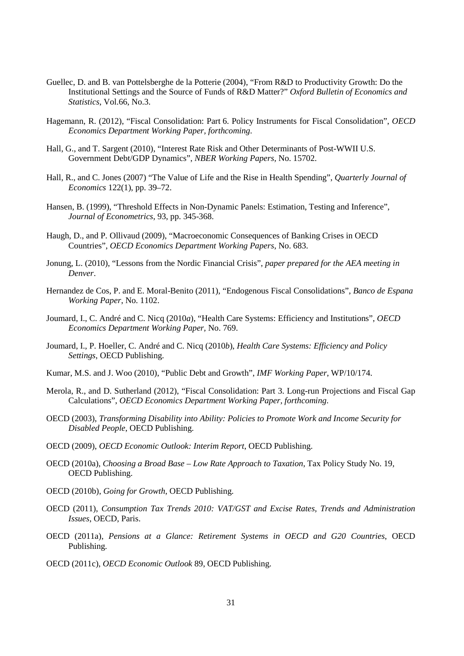- Guellec, D. and B. van Pottelsberghe de la Potterie (2004), "From R&D to Productivity Growth: Do the Institutional Settings and the Source of Funds of R&D Matter?" *Oxford Bulletin of Economics and Statistics*, Vol.66, No.3.
- Hagemann, R. (2012), "Fiscal Consolidation: Part 6. Policy Instruments for Fiscal Consolidation", *OECD Economics Department Working Paper, forthcoming*.
- Hall, G., and T. Sargent (2010), ["Interest Rate Risk and Other Determinants of Post-WWII U.S.](http://ideas.repec.org/p/nbr/nberwo/15702.html)  [Government Debt/GDP Dynamics"](http://ideas.repec.org/p/nbr/nberwo/15702.html), *[NBER Working Papers,](http://ideas.repec.org/s/nbr/nberwo.html)* No. 15702.
- Hall, R., and C. Jones (2007) "The Value of Life and the Rise in Health Spending", *Quarterly Journal of Economics* 122(1), pp. 39–72.
- Hansen, B. (1999), "Threshold Effects in Non-Dynamic Panels: Estimation, Testing and Inference", *Journal of Econometrics*, 93, pp. 345-368.
- Haugh, D., and P*.* Ollivaud (2009), "Macroeconomic Consequences of Banking Crises in OECD Countries", *OECD Economics Department Working Papers*, No. 683.
- Jonung, L. (2010), "Lessons from the Nordic Financial Crisis", *paper prepared for the AEA meeting in Denver*.
- Hernandez de Cos, P. and E. Moral-Benito (2011), "Endogenous Fiscal Consolidations", *Banco de Espana Working Paper*, No. 1102.
- Joumard, I., C. André and C. Nicq (2010*a*), "Health Care Systems: Efficiency and Institutions", *OECD Economics Department Working Paper,* No. 769.
- Joumard, I., P. Hoeller, C. André and C. Nicq (2010*b*), *Health Care Systems: Efficiency and Policy Settings*, OECD Publishing.
- Kumar, M.S. and J. Woo (2010), "Public Debt and Growth", *IMF Working Paper*, WP/10/174.
- Merola, R., and D. Sutherland (2012), "Fiscal Consolidation: Part 3. Long-run Projections and Fiscal Gap Calculations", *OECD Economics Department Working Paper, forthcoming*.
- OECD (2003), *Transforming Disability into Ability: Policies to Promote Work and Income Security for Disabled People*, OECD Publishing.
- OECD (2009), *OECD Economic Outlook: Interim Report*, OECD Publishing.
- OECD (2010a), *Choosing a Broad Base – Low Rate Approach to Taxation*, Tax Policy Study No. 19*,*  OECD Publishing.
- OECD (2010b), *Going for Growth*, OECD Publishing.
- OECD (2011), *Consumption Tax Trends 2010: VAT/GST and Excise Rates, Trends and Administration Issues*, OECD, Paris.
- OECD (2011a), *Pensions at a Glance: Retirement Systems in OECD and G20 Countries*, OECD Publishing.
- OECD (2011c), *OECD Economic Outlook* 89, OECD Publishing.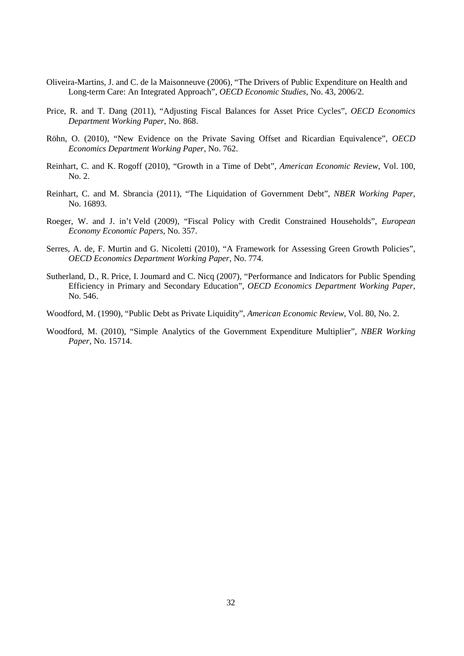- Oliveira-Martins, J. and C. de la Maisonneuve (2006), "The Drivers of Public Expenditure on Health and Long-term Care: An Integrated Approach", *OECD Economic Studies*, No. 43, 2006/2.
- Price, R. and T. Dang (2011), "Adjusting Fiscal Balances for Asset Price Cycles", *OECD Economics Department Working Paper*, No. 868.
- Röhn, O. (2010), "New Evidence on the Private Saving Offset and Ricardian Equivalence", *OECD Economics Department Working Paper*, No. 762.
- Reinhart, C. and K. Rogoff (2010), "Growth in a Time of Debt", *American Economic Review*, Vol. 100, No. 2.
- Reinhart, C. and M. Sbrancia (2011), "The Liquidation of Government Debt", *NBER Working Paper*, No. 16893.
- Roeger, W. and J. in't Veld (2009), "Fiscal Policy with Credit Constrained Households", *European Economy Economic Papers*, No. 357.
- Serres, A. de, F. Murtin and G. Nicoletti (2010), "A Framework for Assessing Green Growth Policies", *OECD Economics Department Working Paper*, No. 774.
- Sutherland, D., R. Price, I. Joumard and C. Nicq (2007), "Performance and Indicators for Public Spending Efficiency in Primary and Secondary Education", *OECD Economics Department Working Paper*, No. 546.
- Woodford, M. (1990), "Public Debt as Private Liquidity", *American Economic Review*, Vol. 80, No. 2.
- Woodford, M. (2010), "Simple Analytics of the Government Expenditure Multiplier", *NBER Working Paper*, No. 15714.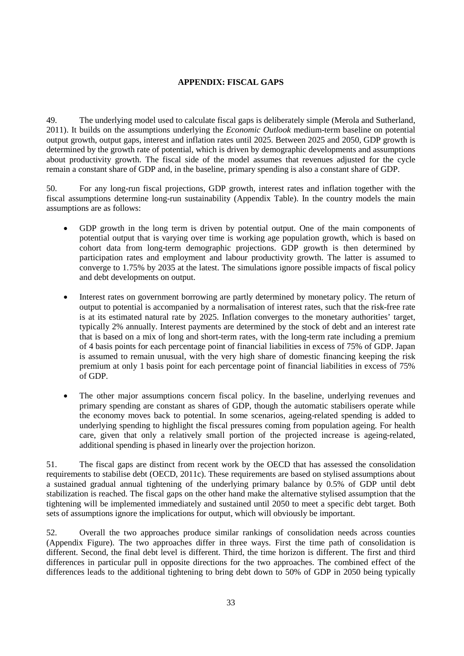# **APPENDIX: FISCAL GAPS**

49. The underlying model used to calculate fiscal gaps is deliberately simple (Merola and Sutherland, 2011). It builds on the assumptions underlying the *Economic Outlook* medium-term baseline on potential output growth, output gaps, interest and inflation rates until 2025. Between 2025 and 2050, GDP growth is determined by the growth rate of potential, which is driven by demographic developments and assumptions about productivity growth. The fiscal side of the model assumes that revenues adjusted for the cycle remain a constant share of GDP and, in the baseline, primary spending is also a constant share of GDP.

50. For any long-run fiscal projections, GDP growth, interest rates and inflation together with the fiscal assumptions determine long-run sustainability (Appendix Table). In the country models the main assumptions are as follows:

- GDP growth in the long term is driven by potential output. One of the main components of potential output that is varying over time is working age population growth, which is based on cohort data from long-term demographic projections. GDP growth is then determined by participation rates and employment and labour productivity growth. The latter is assumed to converge to 1.75% by 2035 at the latest. The simulations ignore possible impacts of fiscal policy and debt developments on output.
- Interest rates on government borrowing are partly determined by monetary policy. The return of output to potential is accompanied by a normalisation of interest rates, such that the risk-free rate is at its estimated natural rate by 2025. Inflation converges to the monetary authorities' target, typically 2% annually. Interest payments are determined by the stock of debt and an interest rate that is based on a mix of long and short-term rates, with the long-term rate including a premium of 4 basis points for each percentage point of financial liabilities in excess of 75% of GDP. Japan is assumed to remain unusual, with the very high share of domestic financing keeping the risk premium at only 1 basis point for each percentage point of financial liabilities in excess of 75% of GDP.
- The other major assumptions concern fiscal policy. In the baseline, underlying revenues and primary spending are constant as shares of GDP, though the automatic stabilisers operate while the economy moves back to potential. In some scenarios, ageing-related spending is added to underlying spending to highlight the fiscal pressures coming from population ageing. For health care, given that only a relatively small portion of the projected increase is ageing-related, additional spending is phased in linearly over the projection horizon.

51. The fiscal gaps are distinct from recent work by the OECD that has assessed the consolidation requirements to stabilise debt (OECD, 2011c). These requirements are based on stylised assumptions about a sustained gradual annual tightening of the underlying primary balance by 0.5% of GDP until debt stabilization is reached. The fiscal gaps on the other hand make the alternative stylised assumption that the tightening will be implemented immediately and sustained until 2050 to meet a specific debt target. Both sets of assumptions ignore the implications for output, which will obviously be important.

52. Overall the two approaches produce similar rankings of consolidation needs across counties (Appendix Figure). The two approaches differ in three ways. First the time path of consolidation is different. Second, the final debt level is different. Third, the time horizon is different. The first and third differences in particular pull in opposite directions for the two approaches. The combined effect of the differences leads to the additional tightening to bring debt down to 50% of GDP in 2050 being typically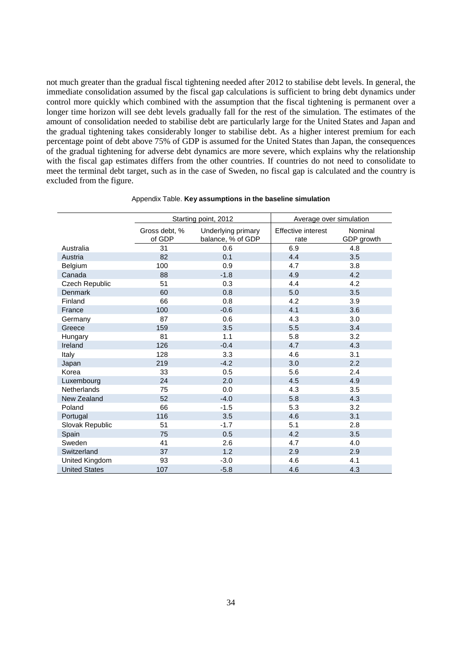not much greater than the gradual fiscal tightening needed after 2012 to stabilise debt levels. In general, the immediate consolidation assumed by the fiscal gap calculations is sufficient to bring debt dynamics under control more quickly which combined with the assumption that the fiscal tightening is permanent over a longer time horizon will see debt levels gradually fall for the rest of the simulation. The estimates of the amount of consolidation needed to stabilise debt are particularly large for the United States and Japan and the gradual tightening takes considerably longer to stabilise debt. As a higher interest premium for each percentage point of debt above 75% of GDP is assumed for the United States than Japan, the consequences of the gradual tightening for adverse debt dynamics are more severe, which explains why the relationship with the fiscal gap estimates differs from the other countries. If countries do not need to consolidate to meet the terminal debt target, such as in the case of Sweden, no fiscal gap is calculated and the country is excluded from the figure.

|                       |                         | Starting point, 2012                    | Average over simulation    |                       |  |  |  |
|-----------------------|-------------------------|-----------------------------------------|----------------------------|-----------------------|--|--|--|
|                       | Gross debt, %<br>of GDP | Underlying primary<br>balance, % of GDP | Effective interest<br>rate | Nominal<br>GDP growth |  |  |  |
| Australia             | 31                      | 0.6                                     | 6.9                        | 4.8                   |  |  |  |
| Austria               | 82                      | 0.1                                     | 4.4                        | 3.5                   |  |  |  |
| Belgium               | 100                     | 0.9                                     | 4.7                        | 3.8                   |  |  |  |
| Canada                | 88                      | $-1.8$                                  | 4.9                        | 4.2                   |  |  |  |
| <b>Czech Republic</b> | 51                      | 0.3                                     | 4.4                        | 4.2                   |  |  |  |
| <b>Denmark</b>        | 60                      | 0.8                                     | 5.0                        | 3.5                   |  |  |  |
| Finland               | 66                      | 0.8                                     | 4.2                        | 3.9                   |  |  |  |
| France                | 100                     | $-0.6$                                  | 4.1                        | 3.6                   |  |  |  |
| Germany               | 87                      | 0.6                                     | 4.3                        | 3.0                   |  |  |  |
| Greece                | 159                     | 3.5                                     | 5.5                        | 3.4                   |  |  |  |
| Hungary               | 81                      | 1.1                                     | 5.8                        | 3.2                   |  |  |  |
| Ireland               | 126                     | $-0.4$                                  | 4.7                        | 4.3                   |  |  |  |
| Italy                 | 128                     | 3.3                                     | 4.6                        | 3.1                   |  |  |  |
| Japan                 | 219                     | $-4.2$                                  | 3.0                        | 2.2                   |  |  |  |
| Korea                 | 33                      | 0.5                                     | 5.6                        | 2.4                   |  |  |  |
| Luxembourg            | 24                      | 2.0                                     | 4.5                        | 4.9                   |  |  |  |
| <b>Netherlands</b>    | 75                      | 0.0                                     | 4.3                        | 3.5                   |  |  |  |
| New Zealand           | 52                      | $-4.0$                                  | 5.8                        | 4.3                   |  |  |  |
| Poland                | 66                      | $-1.5$                                  | 5.3                        | 3.2                   |  |  |  |
| Portugal              | 116                     | 3.5                                     | 4.6                        | 3.1                   |  |  |  |
| Slovak Republic       | 51                      | $-1.7$                                  | 5.1                        | 2.8                   |  |  |  |
| Spain                 | 75                      | 0.5                                     | 4.2                        | 3.5                   |  |  |  |
| Sweden                | 41                      | 2.6                                     | 4.7                        | 4.0                   |  |  |  |
| Switzerland           | 37                      | 1.2                                     | 2.9                        | 2.9                   |  |  |  |
| United Kingdom        | 93                      | $-3.0$                                  | 4.6                        | 4.1                   |  |  |  |
| <b>United States</b>  | 107                     | $-5.8$                                  | 4.6                        | 4.3                   |  |  |  |

#### Appendix Table. **Key assumptions in the baseline simulation**